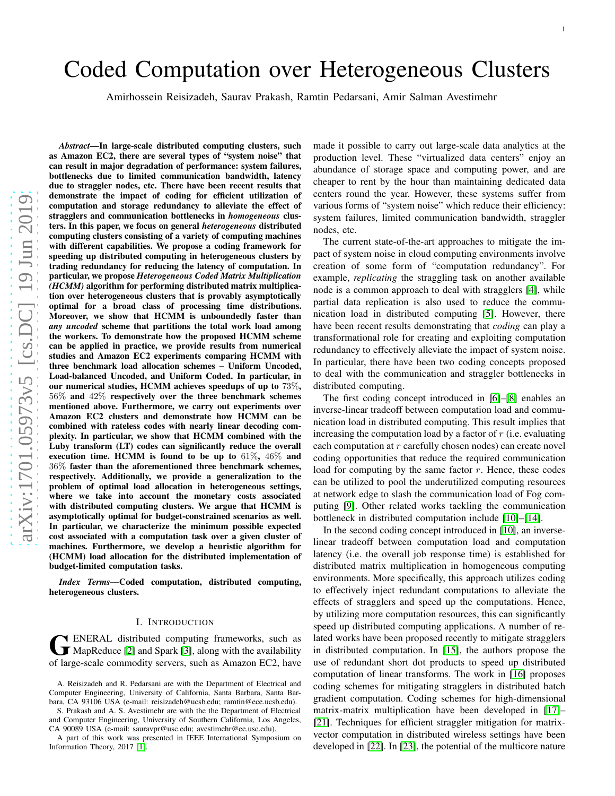# Coded Computation over Heterogeneous Clusters

Amirhossein Reisizadeh, Saurav Prakash, Ramtin Pedarsani, Amir Salman Avestimehr

*Abstract*—In large-scale distributed computing clusters, such as Amazon EC2, there are several types of "system noise" that can result in major degradation of performance: system failures, bottlenecks due to limited communication bandwidth, latency due to straggler nodes, etc. There have been recent results that demonstrate the impact of coding for efficient utilization o f computation and storage redundancy to alleviate the effect of stragglers and communication bottlenecks in *homogeneous* clusters. In this paper, we focus on general *heterogeneous* distributed computing clusters consisting of a variety of computing machines with different capabilities. We propose a coding framework for speeding up distributed computing in heterogeneous clusters by trading redundancy for reducing the latency of computation. In particular, we propose *Heterogeneous Coded Matrix Multiplication (HCMM)* algorithm for performing distributed matrix multiplication over heterogeneous clusters that is provably asymptotically optimal for a broad class of processing time distributions. Moreover, we show that HCMM is unboundedly faster than *any uncoded* scheme that partitions the total work load among the workers. To demonstrate how the proposed HCMM scheme can be applied in practice, we provide results from numerica l studies and Amazon EC2 experiments comparing HCMM with three benchmark load allocation schemes – Uniform Uncoded, Load-balanced Uncoded, and Uniform Coded. In particular, i n our numerical studies, HCMM achieves speedups of up to 73% , 56% and 42% respectively over the three benchmark schemes mentioned above. Furthermore, we carry out experiments ove r Amazon EC2 clusters and demonstrate how HCMM can be combined with rateless codes with nearly linear decoding complexity. In particular, we show that HCMM combined with the Luby transform (LT) codes can significantly reduce the overall execution time. HCMM is found to be up to  $61\%$ ,  $46\%$  and 36% faster than the aforementioned three benchmark schemes, respectively. Additionally, we provide a generalization to the problem of optimal load allocation in heterogeneous settings, where we take into account the monetary costs associated with distributed computing clusters. We argue that HCMM is asymptotically optimal for budget-constrained scenarios as well. In particular, we characterize the minimum possible expected cost associated with a computation task over a given cluster of machines. Furthermore, we develop a heuristic algorithm fo r (HCMM) load allocation for the distributed implementation of budget-limited computation tasks.

*Index Terms*—Coded computation, distributed computing, heterogeneous clusters.

## I. INTRODUCTION

GENERAL distributed computing frameworks, such as<br>MapReduce [\[2\]](#page-14-0) and Spark [\[3\]](#page-14-1), along with the availability ENERAL distributed computing frameworks, such as of large-scale commodity servers, such as Amazon EC2, have

A part of this work was presented in IEEE International Symposium on Information Theory, 2017 [\[1\]](#page-14-2).

made it possible to carry out large-scale data analytics at the production level. These "virtualized data centers" enjoy a n abundance of storage space and computing power, and are cheaper to rent by the hour than maintaining dedicated data centers round the year. However, these systems suffer from various forms of "system noise" which reduce their efficiency: system failures, limited communication bandwidth, straggler nodes, etc.

The current state-of-the-art approaches to mitigate the impact of system noise in cloud computing environments involv e creation of some form of "computation redundancy". For example, *replicating* the straggling task on another available node is a common approach to deal with stragglers [\[4\]](#page-14-3), while partial data replication is also used to reduce the communication load in distributed computing [\[5\]](#page-14-4). However, there have been recent results demonstrating that *coding* can play a transformational role for creating and exploiting computation redundancy to effectively alleviate the impact of system noise. In particular, there have been two coding concepts proposed to deal with the communication and straggler bottlenecks in distributed computing.

The first coding concept introduced in [\[6\]](#page-14-5)–[\[8\]](#page-14-6) enables an inverse-linear tradeoff between computation load and communication load in distributed computing. This result implies that increasing the computation load by a factor of  $r$  (i.e. evaluating each computation at  $r$  carefully chosen nodes) can create novel coding opportunities that reduce the required communication load for computing by the same factor  $r$ . Hence, these codes can be utilized to pool the underutilized computing resources at network edge to slash the communication load of Fog computing [\[9\]](#page-14-7). Other related works tackling the communication bottleneck in distributed computation include [\[10\]](#page-14-8)–[\[14\]](#page-14-9).

In the second coding concept introduced in [\[10\]](#page-14-8), an inverselinear tradeoff between computation load and computation latency (i.e. the overall job response time) is established for distributed matrix multiplication in homogeneous computing environments. More specifically, this approach utilizes coding to effectively inject redundant computations to alleviate the effects of stragglers and speed up the computations. Hence, by utilizing more computation resources, this can significantly speed up distributed computing applications. A number of related works have been proposed recently to mitigate stragglers in distributed computation. In [\[15\]](#page-14-10), the authors propose th e use of redundant short dot products to speed up distributed computation of linear transforms. The work in [\[16\]](#page-14-11) proposes coding schemes for mitigating stragglers in distributed batch gradient computation. Coding schemes for high-dimensiona l matrix-matrix multiplication have been developed in [\[17\]](#page-14-12)– [\[21\]](#page-14-13). Techniques for efficient straggler mitigation for matrixvector computation in distributed wireless settings have been developed in [\[22\]](#page-14-14). In [\[23\]](#page-14-15), the potential of the multicore nature

A. Reisizadeh and R. Pedarsani are with the Department of Electrical and Computer Engineering, University of California, Santa Barbara, Santa Barbara, CA 93106 USA (e-mail: reisizadeh@ucsb.edu; ramtin@ece.ucsb.edu).

S. Prakash and A. S. Avestimehr are with the the Department of Electrical and Computer Engineering, University of Southern California, Los Angeles, CA 90089 USA (e-mail: sauravpr@usc.edu; avestimehr@ee.usc.edu).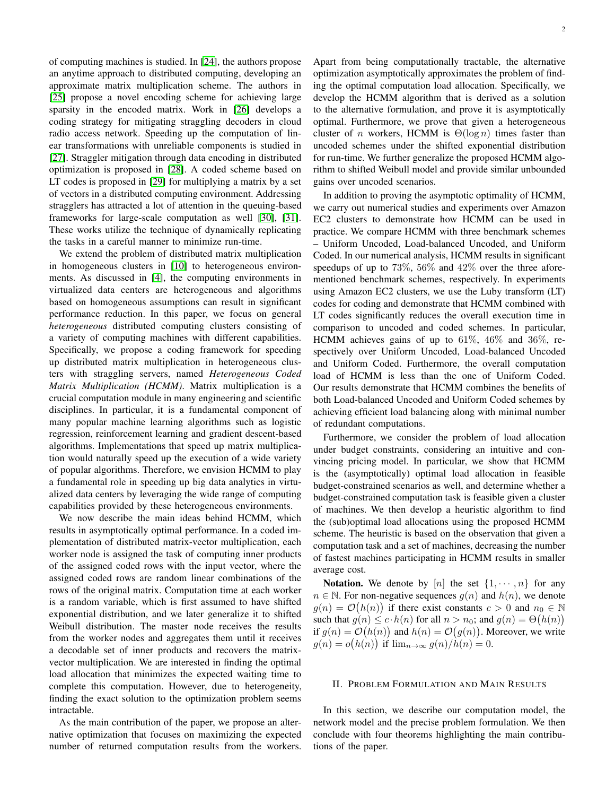of computing machines is studied. In [\[24\]](#page-14-16), the authors propose an anytime approach to distributed computing, developing an approximate matrix multiplication scheme. The authors in [\[25\]](#page-14-17) propose a novel encoding scheme for achieving large sparsity in the encoded matrix. Work in [\[26\]](#page-14-18) develops a coding strategy for mitigating straggling decoders in cloud radio access network. Speeding up the computation of linear transformations with unreliable components is studied in [\[27\]](#page-14-19). Straggler mitigation through data encoding in distributed optimization is proposed in [\[28\]](#page-14-20). A coded scheme based on LT codes is proposed in [\[29\]](#page-14-21) for multiplying a matrix by a set of vectors in a distributed computing environment. Addressing stragglers has attracted a lot of attention in the queuing-based frameworks for large-scale computation as well [\[30\]](#page-14-22), [\[31\]](#page-14-23). These works utilize the technique of dynamically replicating the tasks in a careful manner to minimize run-time.

We extend the problem of distributed matrix multiplication in homogeneous clusters in [\[10\]](#page-14-8) to heterogeneous environments. As discussed in [\[4\]](#page-14-3), the computing environments in virtualized data centers are heterogeneous and algorithms based on homogeneous assumptions can result in significant performance reduction. In this paper, we focus on general *heterogeneous* distributed computing clusters consisting of a variety of computing machines with different capabilities. Specifically, we propose a coding framework for speeding up distributed matrix multiplication in heterogeneous clusters with straggling servers, named *Heterogeneous Coded Matrix Multiplication (HCMM)*. Matrix multiplication is a crucial computation module in many engineering and scientific disciplines. In particular, it is a fundamental component of many popular machine learning algorithms such as logistic regression, reinforcement learning and gradient descent-based algorithms. Implementations that speed up matrix multiplication would naturally speed up the execution of a wide variety of popular algorithms. Therefore, we envision HCMM to play a fundamental role in speeding up big data analytics in virtualized data centers by leveraging the wide range of computing capabilities provided by these heterogeneous environments.

We now describe the main ideas behind HCMM, which results in asymptotically optimal performance. In a coded implementation of distributed matrix-vector multiplication, each worker node is assigned the task of computing inner products of the assigned coded rows with the input vector, where the assigned coded rows are random linear combinations of the rows of the original matrix. Computation time at each worker is a random variable, which is first assumed to have shifted exponential distribution, and we later generalize it to shifted Weibull distribution. The master node receives the results from the worker nodes and aggregates them until it receives a decodable set of inner products and recovers the matrixvector multiplication. We are interested in finding the optimal load allocation that minimizes the expected waiting time to complete this computation. However, due to heterogeneity, finding the exact solution to the optimization problem seems intractable.

As the main contribution of the paper, we propose an alternative optimization that focuses on maximizing the expected number of returned computation results from the workers. Apart from being computationally tractable, the alternative optimization asymptotically approximates the problem of finding the optimal computation load allocation. Specifically, we develop the HCMM algorithm that is derived as a solution to the alternative formulation, and prove it is asymptotically optimal. Furthermore, we prove that given a heterogeneous cluster of *n* workers, HCMM is  $\Theta(\log n)$  times faster than uncoded schemes under the shifted exponential distribution for run-time. We further generalize the proposed HCMM algorithm to shifted Weibull model and provide similar unbounded gains over uncoded scenarios.

In addition to proving the asymptotic optimality of HCMM, we carry out numerical studies and experiments over Amazon EC2 clusters to demonstrate how HCMM can be used in practice. We compare HCMM with three benchmark schemes – Uniform Uncoded, Load-balanced Uncoded, and Uniform Coded. In our numerical analysis, HCMM results in significant speedups of up to 73%, 56% and  $42\%$  over the three aforementioned benchmark schemes, respectively. In experiments using Amazon EC2 clusters, we use the Luby transform (LT) codes for coding and demonstrate that HCMM combined with LT codes significantly reduces the overall execution time in comparison to uncoded and coded schemes. In particular, HCMM achieves gains of up to  $61\%$ ,  $46\%$  and  $36\%$ , respectively over Uniform Uncoded, Load-balanced Uncoded and Uniform Coded. Furthermore, the overall computation load of HCMM is less than the one of Uniform Coded. Our results demonstrate that HCMM combines the benefits of both Load-balanced Uncoded and Uniform Coded schemes by achieving efficient load balancing along with minimal number of redundant computations.

Furthermore, we consider the problem of load allocation under budget constraints, considering an intuitive and convincing pricing model. In particular, we show that HCMM is the (asymptotically) optimal load allocation in feasible budget-constrained scenarios as well, and determine whether a budget-constrained computation task is feasible given a cluster of machines. We then develop a heuristic algorithm to find the (sub)optimal load allocations using the proposed HCMM scheme. The heuristic is based on the observation that given a computation task and a set of machines, decreasing the number of fastest machines participating in HCMM results in smaller average cost.

Notation. We denote by [n] the set  $\{1, \dots, n\}$  for any  $n \in \mathbb{N}$ . For non-negative sequences  $g(n)$  and  $h(n)$ , we denote  $g(n) = \mathcal{O}(h(n))$  if there exist constants  $c > 0$  and  $n_0 \in \mathbb{N}$ such that  $g(n) \leq c \cdot h(n)$  for all  $n > n_0$ ; and  $g(n) = \Theta(h(n))$ if  $g(n) = \mathcal{O}(h(n))$  and  $h(n) = \mathcal{O}(g(n))$ . Moreover, we write  $g(n) = o(h(n))$  if  $\lim_{n \to \infty} g(n)/h(n) = 0$ .

## II. PROBLEM FORMULATION AND MAIN RESULTS

In this section, we describe our computation model, the network model and the precise problem formulation. We then conclude with four theorems highlighting the main contributions of the paper.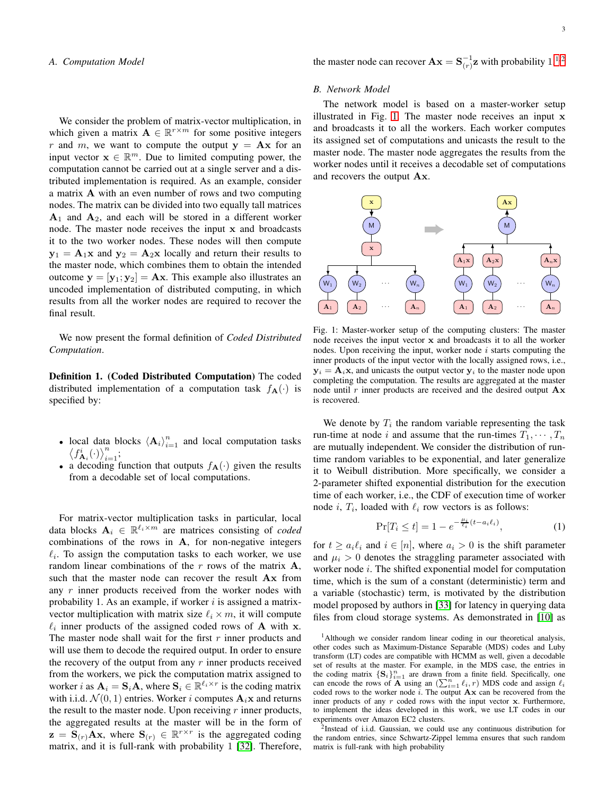## *A. Computation Model*

We consider the problem of matrix-vector multiplication, in which given a matrix  $\mathbf{A} \in \mathbb{R}^{r \times m}$  for some positive integers r and m, we want to compute the output  $y = Ax$  for an input vector  $\mathbf{x} \in \mathbb{R}^m$ . Due to limited computing power, the computation cannot be carried out at a single server and a distributed implementation is required. As an example, consider a matrix A with an even number of rows and two computing nodes. The matrix can be divided into two equally tall matrices  $A_1$  and  $A_2$ , and each will be stored in a different worker node. The master node receives the input x and broadcasts it to the two worker nodes. These nodes will then compute  $y_1 = A_1x$  and  $y_2 = A_2x$  locally and return their results to the master node, which combines them to obtain the intended outcome  $y = [y_1; y_2] = Ax$ . This example also illustrates an uncoded implementation of distributed computing, in which results from all the worker nodes are required to recover the final result.

We now present the formal definition of *Coded Distributed Computation*.

Definition 1. (Coded Distributed Computation) The coded distributed implementation of a computation task  $f_{\mathbf{A}}(\cdot)$  is specified by:

- local data blocks  $\langle A_i \rangle_{i=1}^n$  and local computation tasks  $\langle f_{A_i}^i(\cdot) \rangle_{i=1}^n$ ;
- a decoding function that outputs  $f_{\mathbf{A}}(\cdot)$  given the results from a decodable set of local computations.

For matrix-vector multiplication tasks in particular, local data blocks  $A_i \in \mathbb{R}^{\ell_i \times m}$  are matrices consisting of *coded* combinations of the rows in A, for non-negative integers  $\ell_i$ . To assign the computation tasks to each worker, we use random linear combinations of the  $r$  rows of the matrix  $A$ , such that the master node can recover the result Ax from any  $r$  inner products received from the worker nodes with probability 1. As an example, if worker  $i$  is assigned a matrixvector multiplication with matrix size  $\ell_i \times m$ , it will compute  $\ell_i$  inner products of the assigned coded rows of **A** with **x**. The master node shall wait for the first  $r$  inner products and will use them to decode the required output. In order to ensure the recovery of the output from any  $r$  inner products received from the workers, we pick the computation matrix assigned to worker *i* as  $A_i = S_i A$ , where  $S_i \in \mathbb{R}^{\ell_i \times r}$  is the coding matrix with i.i.d.  $\mathcal{N}(0, 1)$  entries. Worker i computes  $\mathbf{A}_i \mathbf{x}$  and returns the result to the master node. Upon receiving  $r$  inner products, the aggregated results at the master will be in the form of  $\mathbf{z} = \mathbf{S}_{(r)} \mathbf{A} \mathbf{x}$ , where  $\mathbf{S}_{(r)} \in \mathbb{R}^{r \times r}$  is the aggregated coding matrix, and it is full-rank with probability 1 [\[32\]](#page-14-24). Therefore, the master node can recover  $\mathbf{A}\mathbf{x} = \mathbf{S}_{(r)}^{-1}\mathbf{z}$  $\mathbf{A}\mathbf{x} = \mathbf{S}_{(r)}^{-1}\mathbf{z}$  $\mathbf{A}\mathbf{x} = \mathbf{S}_{(r)}^{-1}\mathbf{z}$  with probability 1.<sup>1[,2](#page-2-1)</sup>

## <span id="page-2-4"></span>*B. Network Model*

The network model is based on a master-worker setup illustrated in Fig. [1.](#page-2-2) The master node receives an input x and broadcasts it to all the workers. Each worker computes its assigned set of computations and unicasts the result to the master node. The master node aggregates the results from the worker nodes until it receives a decodable set of computations and recovers the output Ax.

<span id="page-2-2"></span>

Fig. 1: Master-worker setup of the computing clusters: The master node receives the input vector x and broadcasts it to all the worker nodes. Upon receiving the input, worker node  $i$  starts computing the inner products of the input vector with the locally assigned rows, i.e.,  $y_i = A_i x$ , and unicasts the output vector  $y_i$  to the master node upon completing the computation. The results are aggregated at the master node until  $r$  inner products are received and the desired output  $\mathbf{A} \mathbf{x}$ is recovered.

We denote by  $T_i$  the random variable representing the task run-time at node i and assume that the run-times  $T_1, \dots, T_n$ are mutually independent. We consider the distribution of runtime random variables to be exponential, and later generalize it to Weibull distribution. More specifically, we consider a 2-parameter shifted exponential distribution for the execution time of each worker, i.e., the CDF of execution time of worker node i,  $T_i$ , loaded with  $\ell_i$  row vectors is as follows:

<span id="page-2-3"></span>
$$
\Pr[T_i \le t] = 1 - e^{-\frac{\mu_i}{\ell_i}(t - a_i \ell_i)},\tag{1}
$$

for  $t \ge a_i \ell_i$  and  $i \in [n]$ , where  $a_i > 0$  is the shift parameter and  $\mu_i > 0$  denotes the straggling parameter associated with worker node i. The shifted exponential model for computation time, which is the sum of a constant (deterministic) term and a variable (stochastic) term, is motivated by the distribution model proposed by authors in [\[33\]](#page-14-25) for latency in querying data files from cloud storage systems. As demonstrated in [\[10\]](#page-14-8) as

<span id="page-2-0"></span><sup>1</sup>Although we consider random linear coding in our theoretical analysis, other codes such as Maximum-Distance Separable (MDS) codes and Luby transform (LT) codes are compatible with HCMM as well, given a decodable set of results at the master. For example, in the MDS case, the entries in the coding matrix  $\{S_i\}_{i=1}^n$  are drawn from a finite field. Specifically, one can encode the rows of  $\overline{A}^1$  using an  $(\sum_{i=1}^n \ell_i, r)$  MDS code and assign  $\ell_i$ coded rows to the worker node  $i$ . The output  $A x$  can be recovered from the inner products of any  $r$  coded rows with the input vector  $x$ . Furthermore, to implement the ideas developed in this work, we use LT codes in our experiments over Amazon EC2 clusters.

<span id="page-2-1"></span><sup>2</sup>Instead of i.i.d. Gaussian, we could use any continuous distribution for the random entries, since Schwartz-Zippel lemma ensures that such random matrix is full-rank with high probability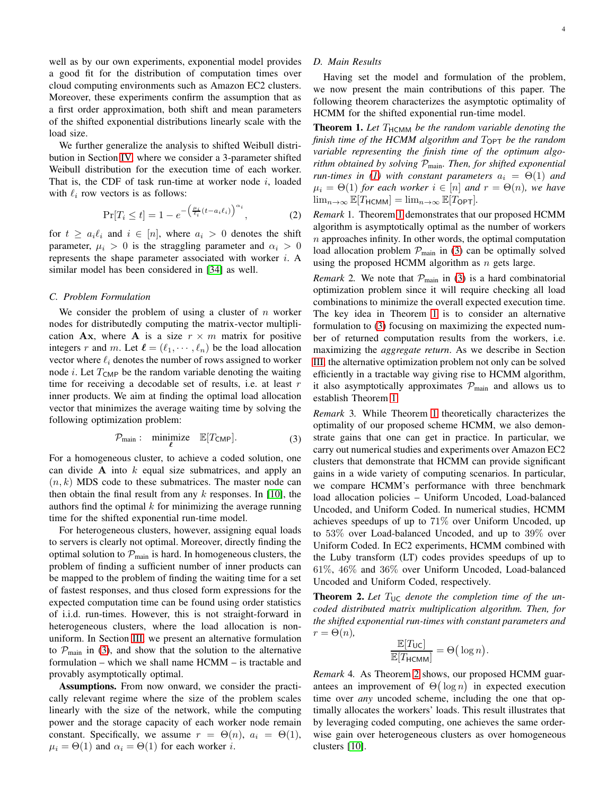well as by our own experiments, exponential model provides a good fit for the distribution of computation times over cloud computing environments such as Amazon EC2 clusters. Moreover, these experiments confirm the assumption that as a first order approximation, both shift and mean parameters of the shifted exponential distributions linearly scale with the load size.

We further generalize the analysis to shifted Weibull distribution in Section [IV,](#page-7-0) where we consider a 3-parameter shifted Weibull distribution for the execution time of each worker. That is, the CDF of task run-time at worker node  $i$ , loaded with  $\ell_i$  row vectors is as follows:

<span id="page-3-3"></span>
$$
\Pr[T_i \le t] = 1 - e^{-\left(\frac{\mu_i}{\ell_i}(t - a_i\ell_i)\right)^{\alpha_i}},\tag{2}
$$

for  $t \ge a_i \ell_i$  and  $i \in [n]$ , where  $a_i > 0$  denotes the shift parameter,  $\mu_i > 0$  is the straggling parameter and  $\alpha_i > 0$ represents the shape parameter associated with worker i. A similar model has been considered in [\[34\]](#page-14-26) as well.

## *C. Problem Formulation*

We consider the problem of using a cluster of  $n$  worker nodes for distributedly computing the matrix-vector multiplication Ax, where A is a size  $r \times m$  matrix for positive integers r and m. Let  $\ell = (\ell_1, \dots, \ell_n)$  be the load allocation vector where  $\ell_i$  denotes the number of rows assigned to worker node *i*. Let  $T_{\text{CMP}}$  be the random variable denoting the waiting time for receiving a decodable set of results, i.e. at least  $r$ inner products. We aim at finding the optimal load allocation vector that minimizes the average waiting time by solving the following optimization problem:

<span id="page-3-0"></span>
$$
\mathcal{P}_{\text{main}}: \quad \text{minimize} \quad \mathbb{E}[T_{\text{CMD}}]. \tag{3}
$$

For a homogeneous cluster, to achieve a coded solution, one can divide  $A$  into  $k$  equal size submatrices, and apply an  $(n, k)$  MDS code to these submatrices. The master node can then obtain the final result from any  $k$  responses. In [\[10\]](#page-14-8), the authors find the optimal  $k$  for minimizing the average running time for the shifted exponential run-time model.

For heterogeneous clusters, however, assigning equal loads to servers is clearly not optimal. Moreover, directly finding the optimal solution to  $P_{\text{main}}$  is hard. In homogeneous clusters, the problem of finding a sufficient number of inner products can be mapped to the problem of finding the waiting time for a set of fastest responses, and thus closed form expressions for the expected computation time can be found using order statistics of i.i.d. run-times. However, this is not straight-forward in heterogeneous clusters, where the load allocation is nonuniform. In Section [III,](#page-4-0) we present an alternative formulation to  $\mathcal{P}_{\text{main}}$  in [\(3\)](#page-3-0), and show that the solution to the alternative formulation – which we shall name HCMM – is tractable and provably asymptotically optimal.

Assumptions. From now onward, we consider the practically relevant regime where the size of the problem scales linearly with the size of the network, while the computing power and the storage capacity of each worker node remain constant. Specifically, we assume  $r = \Theta(n)$ ,  $a_i = \Theta(1)$ ,  $\mu_i = \Theta(1)$  and  $\alpha_i = \Theta(1)$  for each worker *i*.

# *D. Main Results*

Having set the model and formulation of the problem, we now present the main contributions of this paper. The following theorem characterizes the asymptotic optimality of HCMM for the shifted exponential run-time model.

<span id="page-3-1"></span>Theorem 1. Let T<sub>HCMM</sub> be the random variable denoting the *finish time of the HCMM algorithm and*  $T_{\text{OPT}}$  *be the random variable representing the finish time of the optimum algorithm obtained by solving* Pmain*. Then, for shifted exponential run-times in* [\(1\)](#page-2-3) with constant parameters  $a_i = \Theta(1)$  and  $\mu_i = \Theta(1)$  *for each worker*  $i \in [n]$  *and*  $r = \Theta(n)$ *, we have*  $\lim_{n\to\infty} \mathbb{E}[T_{\text{HCMM}}] = \lim_{n\to\infty} \mathbb{E}[T_{\text{OPT}}].$ 

*Remark* 1*.* Theorem [1](#page-3-1) demonstrates that our proposed HCMM algorithm is asymptotically optimal as the number of workers  $n$  approaches infinity. In other words, the optimal computation load allocation problem  $\mathcal{P}_{\text{main}}$  in [\(3\)](#page-3-0) can be optimally solved using the proposed HCMM algorithm as  $n$  gets large.

*Remark* 2. We note that  $P_{\text{main}}$  in [\(3\)](#page-3-0) is a hard combinatorial optimization problem since it will require checking all load combinations to minimize the overall expected execution time. The key idea in Theorem [1](#page-3-1) is to consider an alternative formulation to [\(3\)](#page-3-0) focusing on maximizing the expected number of returned computation results from the workers, i.e. maximizing the *aggregate return*. As we describe in Section [III,](#page-4-0) the alternative optimization problem not only can be solved efficiently in a tractable way giving rise to HCMM algorithm, it also asymptotically approximates  $P_{\text{main}}$  and allows us to establish Theorem [1.](#page-3-1)

*Remark* 3*.* While Theorem [1](#page-3-1) theoretically characterizes the optimality of our proposed scheme HCMM, we also demonstrate gains that one can get in practice. In particular, we carry out numerical studies and experiments over Amazon EC2 clusters that demonstrate that HCMM can provide significant gains in a wide variety of computing scenarios. In particular, we compare HCMM's performance with three benchmark load allocation policies – Uniform Uncoded, Load-balanced Uncoded, and Uniform Coded. In numerical studies, HCMM achieves speedups of up to 71% over Uniform Uncoded, up to 53% over Load-balanced Uncoded, and up to 39% over Uniform Coded. In EC2 experiments, HCMM combined with the Luby transform (LT) codes provides speedups of up to 61%, 46% and 36% over Uniform Uncoded, Load-balanced Uncoded and Uniform Coded, respectively.

<span id="page-3-2"></span>**Theorem 2.** Let  $T_{\text{UC}}$  denote the completion time of the un*coded distributed matrix multiplication algorithm. Then, for the shifted exponential run-times with constant parameters and*  $r = \Theta(n)$ ,

$$
\frac{\mathbb{E}[T_{\mathsf{UC}}]}{\mathbb{E}[T_{\mathsf{HCMM}}]} = \Theta\big(\log n\big).
$$

*Remark* 4*.* As Theorem [2](#page-3-2) shows, our proposed HCMM guarantees an improvement of  $\Theta(\log n)$  in expected execution time over *any* uncoded scheme, including the one that optimally allocates the workers' loads. This result illustrates that by leveraging coded computing, one achieves the same orderwise gain over heterogeneous clusters as over homogeneous clusters [\[10\]](#page-14-8).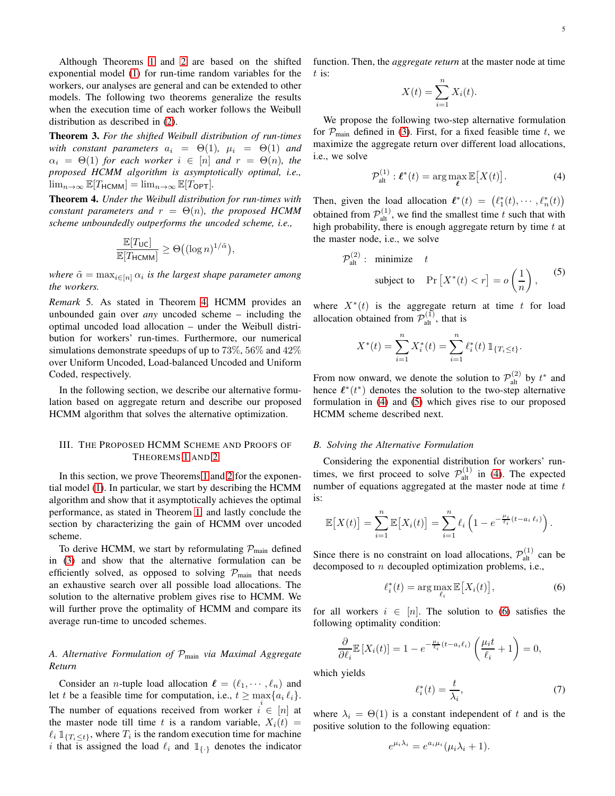Although Theorems [1](#page-3-1) and [2](#page-3-2) are based on the shifted exponential model [\(1\)](#page-2-3) for run-time random variables for the workers, our analyses are general and can be extended to other models. The following two theorems generalize the results when the execution time of each worker follows the Weibull distribution as described in [\(2\)](#page-3-3).

<span id="page-4-6"></span>Theorem 3. *For the shifted Weibull distribution of run-times with constant parameters*  $a_i = \Theta(1)$ ,  $\mu_i = \Theta(1)$  *and*  $\alpha_i = \Theta(1)$  *for each worker*  $i \in [n]$  *and*  $r = \Theta(n)$ *, the proposed HCMM algorithm is asymptotically optimal, i.e.,*  $\lim_{n\to\infty} \mathbb{E}[T_{\text{HCMM}}] = \lim_{n\to\infty} \mathbb{E}[T_{\text{OPT}}].$ 

<span id="page-4-1"></span>Theorem 4. *Under the Weibull distribution for run-times with constant parameters and*  $r = \Theta(n)$ *, the proposed HCMM scheme unboundedly outperforms the uncoded scheme, i.e.,*

$$
\frac{\mathbb{E}[T_{\mathsf{UC}}]}{\mathbb{E}[T_{\mathsf{HCMM}}]} \geq \Theta\big((\log n)^{1/\tilde{\alpha}}\big),\,
$$

where  $\tilde{\alpha} = \max_{i \in [n]} \alpha_i$  is the largest shape parameter among *the workers.*

*Remark* 5*.* As stated in Theorem [4,](#page-4-1) HCMM provides an unbounded gain over *any* uncoded scheme – including the optimal uncoded load allocation – under the Weibull distribution for workers' run-times. Furthermore, our numerical simulations demonstrate speedups of up to  $73\%$ ,  $56\%$  and  $42\%$ over Uniform Uncoded, Load-balanced Uncoded and Uniform Coded, respectively.

In the following section, we describe our alternative formulation based on aggregate return and describe our proposed HCMM algorithm that solves the alternative optimization.

# <span id="page-4-0"></span>III. THE PROPOSED HCMM SCHEME AND PROOFS OF THEOREMS [1](#page-3-1) AND [2](#page-3-2)

In this section, we prove Theorems [1](#page-3-1) and [2](#page-3-2) for the exponential model [\(1\)](#page-2-3). In particular, we start by describing the HCMM algorithm and show that it asymptotically achieves the optimal performance, as stated in Theorem [1,](#page-3-1) and lastly conclude the section by characterizing the gain of HCMM over uncoded scheme.

To derive HCMM, we start by reformulating  $P_{\text{main}}$  defined in [\(3\)](#page-3-0) and show that the alternative formulation can be efficiently solved, as opposed to solving  $P_{\text{main}}$  that needs an exhaustive search over all possible load allocations. The solution to the alternative problem gives rise to HCMM. We will further prove the optimality of HCMM and compare its average run-time to uncoded schemes.

# *A. Alternative Formulation of* Pmain *via Maximal Aggregate Return*

Consider an *n*-tuple load allocation  $\ell = (\ell_1, \dots, \ell_n)$  and let t be a feasible time for computation, i.e.,  $t \ge \max\{a_i \ell_i\}$ . The number of equations received from worker  $i \in [n]$  at the master node till time t is a random variable,  $X_i(t)$  =  $\ell_i$   $\mathbb{1}_{\{T_i \leq t\}}$ , where  $T_i$  is the random execution time for machine i that is assigned the load  $\ell_i$  and  $\mathbb{1}_{\{\cdot\}}$  denotes the indicator function. Then, the *aggregate return* at the master node at time  $t$  is:

<span id="page-4-2"></span>
$$
X(t) = \sum_{i=1}^{n} X_i(t).
$$

We propose the following two-step alternative formulation for  $P_{\text{main}}$  defined in [\(3\)](#page-3-0). First, for a fixed feasible time t, we maximize the aggregate return over different load allocations, i.e., we solve

<span id="page-4-3"></span>
$$
\mathcal{P}_{\text{alt}}^{(1)}: \ell^*(t) = \arg\max_{\ell} \mathbb{E}\big[X(t)\big].\tag{4}
$$

Then, given the load allocation  $\ell^*(t) = (\ell_1^*(t), \cdots, \ell_n^*(t))$ obtained from  $\mathcal{P}_{alt}^{(1)}$ , we find the smallest time t such that with high probability, there is enough aggregate return by time  $t$  at the master node, i.e., we solve

$$
\mathcal{P}_{\text{alt}}^{(2)}: \text{ minimize } t
$$
\n
$$
\text{subject to } \Pr\left[X^*(t) < r\right] = o\left(\frac{1}{n}\right), \qquad (5)
$$

where  $X^*(t)$  is the aggregate return at time t for load allocation obtained from  $\mathcal{P}_{alt}^{(1)}$ , that is

$$
X^*(t) = \sum_{i=1}^n X_i^*(t) = \sum_{i=1}^n \ell_i^*(t) \mathbb{1}_{\{T_i \le t\}}.
$$

From now onward, we denote the solution to  $\mathcal{P}_{alt}^{(2)}$  by  $t^*$  and hence  $\ell^*(t^*)$  denotes the solution to the two-step alternative formulation in [\(4\)](#page-4-2) and [\(5\)](#page-4-3) which gives rise to our proposed HCMM scheme described next.

## <span id="page-4-7"></span>*B. Solving the Alternative Formulation*

Considering the exponential distribution for workers' runtimes, we first proceed to solve  $\mathcal{P}^{(1)}_{\text{alt}}$  in [\(4\)](#page-4-2). The expected number of equations aggregated at the master node at time  $t$ is:

$$
\mathbb{E}\big[X(t)\big]=\sum_{i=1}^n\mathbb{E}\big[X_i(t)\big]=\sum_{i=1}^n\ell_i\left(1-e^{-\frac{\mu_i}{\ell_i}(t-a_i\,\ell_i)}\right).
$$

Since there is no constraint on load allocations,  $\mathcal{P}_{alt}^{(1)}$  can be decomposed to  $n$  decoupled optimization problems, i.e.,

<span id="page-4-4"></span>
$$
\ell_i^*(t) = \arg \max_{\ell_i} \mathbb{E}\big[X_i(t)\big],\tag{6}
$$

for all workers  $i \in [n]$ . The solution to [\(6\)](#page-4-4) satisfies the following optimality condition:

$$
\frac{\partial}{\partial \ell_i} \mathbb{E}\left[X_i(t)\right] = 1 - e^{-\frac{\mu_i}{\ell_i}(t - a_i\ell_i)} \left(\frac{\mu_i t}{\ell_i} + 1\right) = 0,
$$

which yields

<span id="page-4-5"></span>
$$
\ell_i^*(t) = \frac{t}{\lambda_i},\tag{7}
$$

where  $\lambda_i = \Theta(1)$  is a constant independent of t and is the positive solution to the following equation:

$$
e^{\mu_i \lambda_i} = e^{a_i \mu_i} (\mu_i \lambda_i + 1).
$$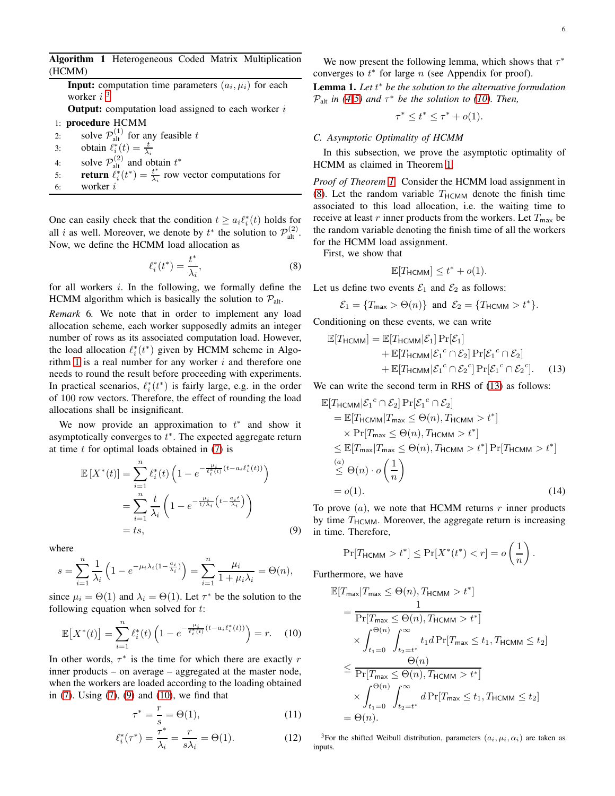# <span id="page-5-1"></span>Algorithm 1 Heterogeneous Coded Matrix Multiplication (HCMM)

**Input:** computation time parameters  $(a_i, \mu_i)$  for each worker  $i<sup>3</sup>$  $i<sup>3</sup>$  $i<sup>3</sup>$ 

**Output:** computation load assigned to each worker  $i$ 

- 1: procedure HCMM
- 2: solve  $\mathcal{P}_{\text{alt}}^{(1)}$  for any feasible t

3: obtain  $\ell_i^*(t) = \frac{t}{\lambda_i}$ 

- 4: solve  $\mathcal{P}_{\text{alt}}^{(2)}$  and obtain  $t^*$
- 5: **return**  $\ell_i^*(t^*) = \frac{t^*}{\lambda_i}$  $\frac{t^*}{\lambda_i}$  row vector computations for
- 6: worker i

One can easily check that the condition  $t \ge a_i \ell_i^*(t)$  holds for all *i* as well. Moreover, we denote by  $t^*$  the solution to  $\mathcal{P}_{alt}^{(2)}$ . Now, we define the HCMM load allocation as

$$
\ell_i^*(t^*) = \frac{t^*}{\lambda_i},\tag{8}
$$

for all workers  $i$ . In the following, we formally define the HCMM algorithm which is basically the solution to  $P_{alt}$ .

*Remark* 6*.* We note that in order to implement any load allocation scheme, each worker supposedly admits an integer number of rows as its associated computation load. However, the load allocation  $\ell_i^*(t^*)$  given by HCMM scheme in Algo-rithm [1](#page-5-1) is a real number for any worker  $i$  and therefore one needs to round the result before proceeding with experiments. In practical scenarios,  $\ell_i^*(t^*)$  is fairly large, e.g. in the order of 100 row vectors. Therefore, the effect of rounding the load allocations shall be insignificant.

We now provide an approximation to  $t^*$  and show it asymptotically converges to  $t^*$ . The expected aggregate return at time  $t$  for optimal loads obtained in  $(7)$  is

$$
\mathbb{E}\left[X^*(t)\right] = \sum_{i=1}^n \ell_i^*(t) \left(1 - e^{-\frac{\mu_i}{\ell_i^*(t)}(t - a_i \ell_i^*(t))}\right)
$$

$$
= \sum_{i=1}^n \frac{t}{\lambda_i} \left(1 - e^{-\frac{\mu_i}{t/\lambda_i}\left(t - \frac{a_i t}{\lambda_i}\right)}\right)
$$

$$
= ts,
$$
(9)

where

$$
s = \sum_{i=1}^{n} \frac{1}{\lambda_i} \left( 1 - e^{-\mu_i \lambda_i (1 - \frac{a_i}{\lambda_i})} \right) = \sum_{i=1}^{n} \frac{\mu_i}{1 + \mu_i \lambda_i} = \Theta(n),
$$

since  $\mu_i = \Theta(1)$  and  $\lambda_i = \Theta(1)$ . Let  $\tau^*$  be the solution to the following equation when solved for  $t$ :

$$
\mathbb{E}\left[X^*(t)\right] = \sum_{i=1}^n \ell_i^*(t) \left(1 - e^{-\frac{\mu_i}{\ell_i^*(t)}(t - a_i \ell_i^*(t))}\right) = r. \tag{10}
$$

In other words,  $\tau^*$  is the time for which there are exactly r inner products – on average – aggregated at the master node, when the workers are loaded according to the loading obtained in [\(7\)](#page-4-5). Using [\(7\)](#page-4-5), [\(9\)](#page-5-2) and [\(10\)](#page-5-3), we find that

$$
\tau^* = \frac{r}{s} = \Theta(1),\tag{11}
$$

$$
\ell_i^*(\tau^*) = \frac{\tau^*}{\lambda_i} = \frac{r}{s\lambda_i} = \Theta(1). \tag{12}
$$

We now present the following lemma, which shows that  $\tau^*$ converges to  $t^*$  for large n (see Appendix for proof).

<span id="page-5-8"></span>Lemma 1. *Let* t ∗ *be the solution to the alternative formulation*  $\mathcal{P}_{\text{alt}}$  *in* [\(4](#page-4-2)[-5\)](#page-4-3) and  $\tau^*$  be the solution to [\(10\)](#page-5-3). Then,

$$
\tau^* \leq t^* \leq \tau^* + o(1).
$$

## <span id="page-5-9"></span>*C. Asymptotic Optimality of HCMM*

In this subsection, we prove the asymptotic optimality of HCMM as claimed in Theorem [1.](#page-3-1)

*Proof of Theorem [1.](#page-3-1)* Consider the HCMM load assignment in [\(8\)](#page-5-4). Let the random variable  $T_{\text{HCMM}}$  denote the finish time associated to this load allocation, i.e. the waiting time to receive at least r inner products from the workers. Let  $T_{\text{max}}$  be the random variable denoting the finish time of all the workers for the HCMM load assignment.

<span id="page-5-4"></span>First, we show that

<span id="page-5-5"></span>
$$
\mathbb{E}[T_{\text{HCMM}}] \le t^* + o(1).
$$

Let us define two events  $\mathcal{E}_1$  and  $\mathcal{E}_2$  as follows:

$$
\mathcal{E}_1 = \{T_{\text{max}} > \Theta(n)\} \text{ and } \mathcal{E}_2 = \{T_{\text{HCMM}} > t^*\}.
$$

Conditioning on these events, we can write

$$
\mathbb{E}[T_{\text{HCMM}}] = \mathbb{E}[T_{\text{HCMM}}|\mathcal{E}_1] \Pr[\mathcal{E}_1] + \mathbb{E}[T_{\text{HCMM}}|\mathcal{E}_1^c \cap \mathcal{E}_2] \Pr[\mathcal{E}_1^c \cap \mathcal{E}_2] + \mathbb{E}[T_{\text{HCMM}}|\mathcal{E}_1^c \cap \mathcal{E}_2^c] \Pr[\mathcal{E}_1^c \cap \mathcal{E}_2^c]. \tag{13}
$$

We can write the second term in RHS of  $(13)$  as follows:

$$
\mathbb{E}[T_{\text{HCMM}}|\mathcal{E}_{1}^{c} \cap \mathcal{E}_{2}] \Pr[\mathcal{E}_{1}^{c} \cap \mathcal{E}_{2}]
$$
\n
$$
= \mathbb{E}[T_{\text{HCMM}}|T_{\text{max}} \leq \Theta(n), T_{\text{HCMM}} > t^{*}]
$$
\n
$$
\times \Pr[T_{\text{max}} \leq \Theta(n), T_{\text{HCMM}} > t^{*}]
$$
\n
$$
\leq \mathbb{E}[T_{\text{max}}|T_{\text{max}} \leq \Theta(n), T_{\text{HCMM}} > t^{*}] \Pr[T_{\text{HCMM}} > t^{*}]
$$
\n
$$
\leq \Theta(n) \cdot o\left(\frac{1}{n}\right)
$$
\n
$$
= o(1). \tag{14}
$$

<span id="page-5-2"></span>To prove  $(a)$ , we note that HCMM returns r inner products by time  $T_{\text{HCMM}}$ . Moreover, the aggregate return is increasing in time. Therefore,

<span id="page-5-6"></span>
$$
\Pr[T_{\text{HCMM}} > t^*] \le \Pr[X^*(t^*) < r] = o\left(\frac{1}{n}\right).
$$

<span id="page-5-3"></span>Furthermore, we have

$$
\mathbb{E}[T_{\max}|T_{\max} \leq \Theta(n), T_{\text{HCMM}} > t^*]
$$
\n
$$
= \frac{1}{\Pr[T_{\max} \leq \Theta(n), T_{\text{HCMM}} > t^*]}
$$
\n
$$
\times \int_{t_1=0}^{\Theta(n)} \int_{t_2=t^*}^{\infty} t_1 d \Pr[T_{\max} \leq t_1, T_{\text{HCMM}} \leq t_2]
$$
\n
$$
\leq \frac{\Theta(n)}{\Pr[T_{\max} \leq \Theta(n), T_{\text{HCMM}} > t^*]}
$$
\n
$$
\times \int_{t_1=0}^{\Theta(n)} \int_{t_2=t^*}^{\infty} d \Pr[T_{\max} \leq t_1, T_{\text{HCMM}} \leq t_2]
$$
\n
$$
= \Theta(n).
$$

<span id="page-5-10"></span><span id="page-5-7"></span><span id="page-5-0"></span><sup>3</sup>For the shifted Weibull distribution, parameters  $(a_i, \mu_i, \alpha_i)$  are taken as inputs.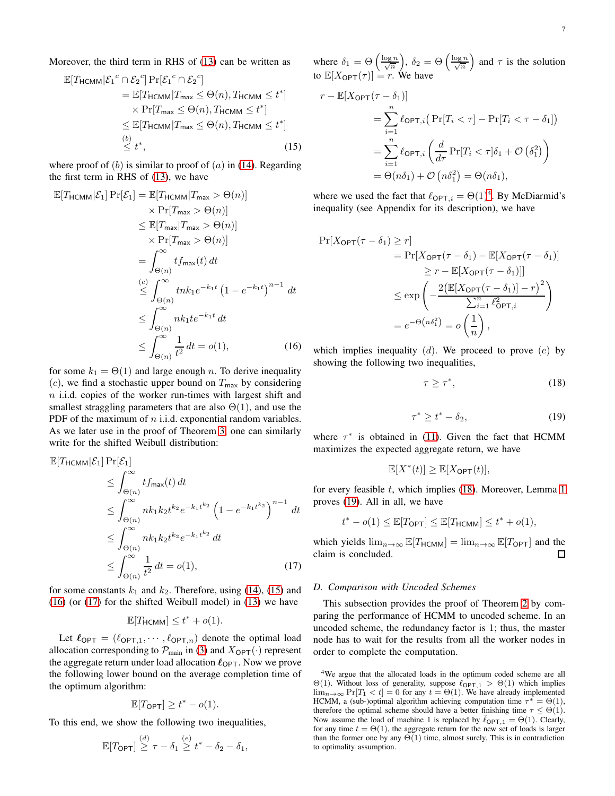$$
\mathbb{E}[T_{\text{HCMM}}|\mathcal{E}_1^c \cap \mathcal{E}_2^c] \Pr[\mathcal{E}_1^c \cap \mathcal{E}_2^c]
$$
  
\n
$$
= \mathbb{E}[T_{\text{HCMM}}|T_{\text{max}} \leq \Theta(n), T_{\text{HCMM}} \leq t^*]
$$
  
\n
$$
\times \Pr[T_{\text{max}} \leq \Theta(n), T_{\text{HCMM}} \leq t^*]
$$
  
\n
$$
\leq \mathbb{E}[T_{\text{HCMM}}|T_{\text{max}} \leq \Theta(n), T_{\text{HCMM}} \leq t^*]
$$
  
\n(b)  
\n
$$
\leq t^*,
$$
 (15)

where proof of  $(b)$  is similar to proof of  $(a)$  in [\(14\)](#page-5-6). Regarding the first term in RHS of [\(13\)](#page-5-5), we have

$$
\mathbb{E}[T_{\text{HCMM}}|\mathcal{E}_{1}] \Pr[\mathcal{E}_{1}] = \mathbb{E}[T_{\text{HCMM}}|T_{\text{max}} > \Theta(n)]
$$
  
\n
$$
\times \Pr[T_{\text{max}} > \Theta(n)]
$$
  
\n
$$
\leq \mathbb{E}[T_{\text{max}}|T_{\text{max}} > \Theta(n)]
$$
  
\n
$$
\times \Pr[T_{\text{max}} > \Theta(n)]
$$
  
\n
$$
= \int_{\Theta(n)}^{\infty} t f_{\text{max}}(t) dt
$$
  
\n
$$
\leq \int_{\Theta(n)}^{\infty} t h k_{1} e^{-k_{1}t} (1 - e^{-k_{1}t})^{n-1} dt
$$
  
\n
$$
\leq \int_{\Theta(n)}^{\infty} n k_{1} t e^{-k_{1}t} dt
$$
  
\n
$$
\leq \int_{\Theta(n)}^{\infty} \frac{1}{t^{2}} dt = o(1),
$$
 (16)

for some  $k_1 = \Theta(1)$  and large enough n. To derive inequality (c), we find a stochastic upper bound on  $T_{\text{max}}$  by considering  $n$  i.i.d. copies of the worker run-times with largest shift and smallest straggling parameters that are also  $\Theta(1)$ , and use the PDF of the maximum of  $n$  i.i.d. exponential random variables. As we later use in the proof of Theorem [3,](#page-4-6) one can similarly write for the shifted Weibull distribution:

$$
\mathbb{E}[T_{\text{HCMM}}|\mathcal{E}_1] \Pr[\mathcal{E}_1] \n\leq \int_{\Theta(n)}^{\infty} t f_{\text{max}}(t) dt \n\leq \int_{\Theta(n)}^{\infty} n k_1 k_2 t^{k_2} e^{-k_1 t^{k_2}} \left(1 - e^{-k_1 t^{k_2}}\right)^{n-1} dt \n\leq \int_{\Theta(n)}^{\infty} n k_1 k_2 t^{k_2} e^{-k_1 t^{k_2}} dt \n\leq \int_{\Theta(n)}^{\infty} \frac{1}{t^2} dt = o(1),
$$
\n(17)

for some constants  $k_1$  and  $k_2$ . Therefore, using [\(14\)](#page-5-6), [\(15\)](#page-6-0) and [\(16\)](#page-6-1) (or [\(17\)](#page-6-2) for the shifted Weibull model) in [\(13\)](#page-5-5) we have

$$
\mathbb{E}[T_{\mathsf{HCMM}}] \le t^* + o(1).
$$

Let  $\ell_{\text{OPT}} = (\ell_{\text{OPT},1}, \cdots, \ell_{\text{OPT},n})$  denote the optimal load allocation corresponding to  $\mathcal{P}_{\text{main}}$  in [\(3\)](#page-3-0) and  $X_{\text{OPT}}(\cdot)$  represent the aggregate return under load allocation  $\ell_{\text{OPT}}$ . Now we prove the following lower bound on the average completion time of the optimum algorithm:

$$
\mathbb{E}[T_{\text{OPT}}] \ge t^* - o(1).
$$

To this end, we show the following two inequalities,

$$
\mathbb{E}[T_{\textsf{OPT}}] \stackrel{(d)}{\geq} \tau - \delta_1 \stackrel{(e)}{\geq} t^* - \delta_2 - \delta_1,
$$

where  $\delta_1 = \Theta\left(\frac{\log n}{\sqrt{n}}\right)$  $\bigg), \delta_2 = \Theta\left(\frac{\log n}{\sqrt{n}}\right)$ ) and  $\tau$  is the solution to  $\mathbb{E}[X_{\text{OPT}}(\tau)] = r$ . We have

<span id="page-6-0"></span>
$$
r - \mathbb{E}[X_{\text{OPT}}(\tau - \delta_1)]
$$
  
= 
$$
\sum_{i=1}^n \ell_{\text{OPT},i} \left( \Pr[T_i < \tau] - \Pr[T_i < \tau - \delta_1] \right)
$$
  
= 
$$
\sum_{i=1}^n \ell_{\text{OPT},i} \left( \frac{d}{d\tau} \Pr[T_i < \tau] \delta_1 + \mathcal{O} \left( \delta_1^2 \right) \right)
$$
  
= 
$$
\Theta(n\delta_1) + \mathcal{O} \left( n\delta_1^2 \right) = \Theta(n\delta_1),
$$

where we used the fact that  $\ell_{\text{OPT},i} = \Theta(1)^4$  $\ell_{\text{OPT},i} = \Theta(1)^4$ . By McDiarmid's inequality (see Appendix for its description), we have

$$
\Pr[X_{\text{OPT}}(\tau - \delta_1) \ge r] \n= \Pr[X_{\text{OPT}}(\tau - \delta_1) - \mathbb{E}[X_{\text{OPT}}(\tau - \delta_1)] \n\ge r - \mathbb{E}[X_{\text{OPT}}(\tau - \delta_1)]] \n\le \exp\left(-\frac{2(\mathbb{E}[X_{\text{OPT}}(\tau - \delta_1)] - r)^2}{\sum_{i=1}^n \ell_{\text{OPT},i}^2}\right) \n= e^{-\Theta(n\delta_1^2)} = o\left(\frac{1}{n}\right),
$$

<span id="page-6-1"></span>which implies inequality  $(d)$ . We proceed to prove  $(e)$  by showing the following two inequalities,

<span id="page-6-4"></span>
$$
\tau \ge \tau^*,\tag{18}
$$

$$
\tau^* \ge t^* - \delta_2,\tag{19}
$$

<span id="page-6-5"></span>where  $\tau^*$  is obtained in [\(11\)](#page-5-7). Given the fact that HCMM maximizes the expected aggregate return, we have

$$
\mathbb{E}[X^*(t)] \ge \mathbb{E}[X_{\text{OPT}}(t)],
$$

for every feasible  $t$ , which implies [\(18\)](#page-6-4). Moreover, Lemma [1](#page-5-8) proves [\(19\)](#page-6-5). All in all, we have

$$
t^* - o(1) \leq \mathbb{E}[T_{\text{OPT}}] \leq \mathbb{E}[T_{\text{HCMM}}] \leq t^* + o(1),
$$

<span id="page-6-2"></span>which yields  $\lim_{n\to\infty} \mathbb{E}[T_{\text{HCMM}}] = \lim_{n\to\infty} \mathbb{E}[T_{\text{OPT}}]$  and the claim is concluded. claim is concluded.

#### *D. Comparison with Uncoded Schemes*

This subsection provides the proof of Theorem [2](#page-3-2) by comparing the performance of HCMM to uncoded scheme. In an uncoded scheme, the redundancy factor is 1; thus, the master node has to wait for the results from all the worker nodes in order to complete the computation.

<span id="page-6-3"></span><sup>&</sup>lt;sup>4</sup>We argue that the allocated loads in the optimum coded scheme are all Θ(1). Without loss of generality, suppose  $\ell_{\text{OPT},1} > Θ(1)$  which implies  $\lim_{n\to\infty}$  Pr[T<sub>1</sub> < t] = 0 for any  $t = \Theta(1)$ . We have already implemented HCMM, a (sub-)optimal algorithm achieving computation time  $\tau^* = \Theta(1)$ , therefore the optimal scheme should have a better finishing time  $\tau \leq \Theta(1)$ . Now assume the load of machine 1 is replaced by  $\ell_{\text{OPT},1} = \Theta(1)$ . Clearly, for any time  $t = \Theta(1)$ , the aggregate return for the new set of loads is larger than the former one by any  $\Theta(1)$  time, almost surely. This is in contradiction to optimality assumption.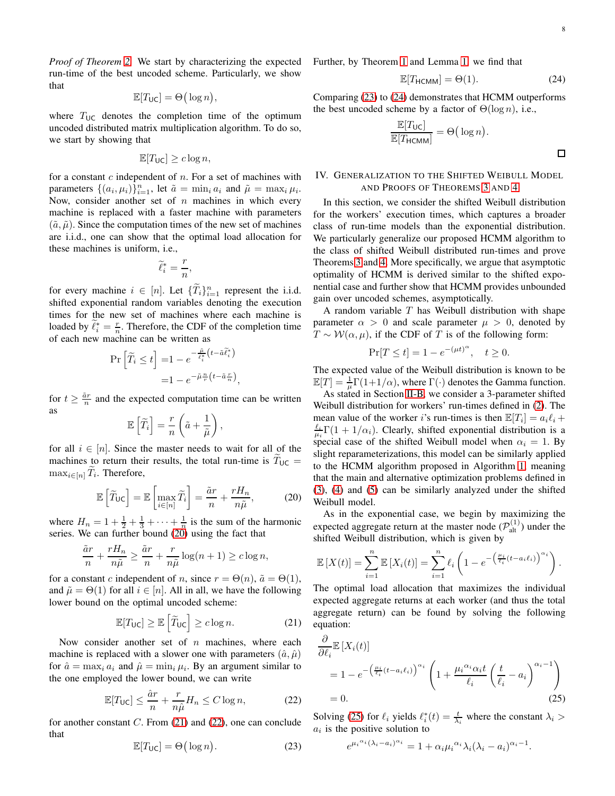*Proof of Theorem [2.](#page-3-2)* We start by characterizing the expected run-time of the best uncoded scheme. Particularly, we show that

$$
\mathbb{E}[T_{\mathsf{UC}}] = \Theta\big(\log n\big),\,
$$

where  $T_{\text{UC}}$  denotes the completion time of the optimum uncoded distributed matrix multiplication algorithm. To do so, we start by showing that

$$
\mathbb{E}[T_{\mathsf{UC}}] \ge c \log n,
$$

for a constant  $c$  independent of  $n$ . For a set of machines with parameters  $\{(a_i, \mu_i)\}_{i=1}^n$ , let  $\tilde{a} = \min_i a_i$  and  $\tilde{\mu} = \max_i \mu_i$ . Now, consider another set of  $n$  machines in which every machine is replaced with a faster machine with parameters  $(\tilde{a}, \tilde{\mu})$ . Since the computation times of the new set of machines are i.i.d., one can show that the optimal load allocation for these machines is uniform, i.e.,

$$
\widetilde{\ell}_i^*=\frac{r}{n},
$$

for every machine  $i \in [n]$ . Let  $\{\widetilde{T}_i\}_{i=1}^n$  represent the i.i.d. shifted exponential random variables denoting the execution times for the new set of machines where each machine is loaded by  $\tilde{\ell}_i^* = \frac{r}{n}$ . Therefore, the CDF of the completion time of each new machine can be written as

$$
\Pr\left[\widetilde{T}_i \le t\right] = 1 - e^{-\frac{\widetilde{\mu}_i}{\widetilde{\ell}_i^*} \left(t - \widetilde{a}\widetilde{\ell}_i^*\right)} \\
= 1 - e^{-\widetilde{\mu}\frac{n}{r}\left(t - \widetilde{a}\frac{r}{n}\right)},
$$

for  $t \geq \frac{\tilde{a}r}{n}$  and the expected computation time can be written as

$$
\mathbb{E}\left[\widetilde{T}_i\right] = \frac{r}{n}\left(\tilde{a} + \frac{1}{\tilde{\mu}}\right),\,
$$

for all  $i \in [n]$ . Since the master needs to wait for all of the machines to return their results, the total run-time is  $T_{\text{UC}} =$  $\max_{i \in [n]} T_i$ . Therefore,

<span id="page-7-1"></span>
$$
\mathbb{E}\left[\widetilde{T}_{\mathsf{UC}}\right] = \mathbb{E}\left[\max_{i \in [n]} \widetilde{T}_i\right] = \frac{\widetilde{a}r}{n} + \frac{rH_n}{n\widetilde{\mu}},\tag{20}
$$

where  $H_n = 1 + \frac{1}{2} + \frac{1}{3} + \cdots + \frac{1}{n}$  is the sum of the harmonic series. We can further bound [\(20\)](#page-7-1) using the fact that

$$
\frac{\tilde{a}r}{n} + \frac{rH_n}{n\tilde{\mu}} \ge \frac{\tilde{a}r}{n} + \frac{r}{n\tilde{\mu}}\log(n+1) \ge c\log n,
$$

for a constant c independent of n, since  $r = \Theta(n)$ ,  $\tilde{a} = \Theta(1)$ , and  $\tilde{\mu} = \Theta(1)$  for all  $i \in [n]$ . All in all, we have the following lower bound on the optimal uncoded scheme:

$$
\mathbb{E}[T_{\mathsf{UC}}] \ge \mathbb{E}\left[\widetilde{T}_{\mathsf{UC}}\right] \ge c\log n. \tag{21}
$$

Now consider another set of  $n$  machines, where each machine is replaced with a slower one with parameters  $(\hat{a}, \hat{\mu})$ for  $\hat{a} = \max_i a_i$  and  $\hat{\mu} = \min_i \mu_i$ . By an argument similar to the one employed the lower bound, we can write

$$
\mathbb{E}[T_{\mathsf{UC}}] \le \frac{\hat{a}r}{n} + \frac{r}{n\hat{\mu}} H_n \le C \log n,\tag{22}
$$

<span id="page-7-4"></span>for another constant  $C$ . From [\(21\)](#page-7-2) and [\(22\)](#page-7-3), one can conclude that

$$
\mathbb{E}[T_{\mathsf{UC}}] = \Theta\big(\log n\big). \tag{23}
$$

Further, by Theorem [1](#page-3-1) and Lemma [1,](#page-5-8) we find that

<span id="page-7-5"></span>
$$
\mathbb{E}[T_{\text{HCMM}}] = \Theta(1). \tag{24}
$$

Comparing [\(23\)](#page-7-4) to [\(24\)](#page-7-5) demonstrates that HCMM outperforms the best uncoded scheme by a factor of  $\Theta(\log n)$ , i.e.,

$$
\frac{\mathbb{E}[T_{\text{UC}}]}{\mathbb{E}[T_{\text{HCMM}}]} = \Theta(\log n).
$$

# <span id="page-7-0"></span>IV. GENERALIZATION TO THE SHIFTED WEIBULL MODEL AND PROOFS OF THEOREMS [3](#page-4-6) AND [4](#page-4-1)

In this section, we consider the shifted Weibull distribution for the workers' execution times, which captures a broader class of run-time models than the exponential distribution. We particularly generalize our proposed HCMM algorithm to the class of shifted Weibull distributed run-times and prove Theorems [3](#page-4-6) and [4.](#page-4-1) More specifically, we argue that asymptotic optimality of HCMM is derived similar to the shifted exponential case and further show that HCMM provides unbounded gain over uncoded schemes, asymptotically.

A random variable  $T$  has Weibull distribution with shape parameter  $\alpha > 0$  and scale parameter  $\mu > 0$ , denoted by  $T \sim \mathcal{W}(\alpha, \mu)$ , if the CDF of T is of the following form:

$$
\Pr[T \le t] = 1 - e^{-(\mu t)^{\alpha}}, \quad t \ge 0.
$$

The expected value of the Weibull distribution is known to be  $\mathbb{E}[T] = \frac{1}{\mu} \Gamma(1+1/\alpha)$ , where  $\Gamma(\cdot)$  denotes the Gamma function.

As stated in Section [II-B,](#page-2-4) we consider a 3-parameter shifted Weibull distribution for workers' run-times defined in [\(2\)](#page-3-3). The mean value of the worker *i*'s run-times is then  $\mathbb{E}[T_i] = a_i \ell_i +$  $\frac{\ell_i}{\mu_i} \Gamma(1 + 1/\alpha_i)$ . Clearly, shifted exponential distribution is a special case of the shifted Weibull model when  $\alpha_i = 1$ . By slight reparameterizations, this model can be similarly applied to the HCMM algorithm proposed in Algorithm [1,](#page-5-1) meaning that the main and alternative optimization problems defined in [\(3\)](#page-3-0), [\(4\)](#page-4-2) and [\(5\)](#page-4-3) can be similarly analyzed under the shifted Weibull model.

As in the exponential case, we begin by maximizing the expected aggregate return at the master node  $(\mathcal{P}_{\text{alt}}^{(1)})$  under the shifted Weibull distribution, which is given by

$$
\mathbb{E}\left[X(t)\right] = \sum_{i=1}^n \mathbb{E}\left[X_i(t)\right] = \sum_{i=1}^n \ell_i \left(1 - e^{-\left(\frac{\mu_i}{\ell_i}(t - a_i\ell_i)\right)^{\alpha_i}}\right).
$$

<span id="page-7-2"></span>The optimal load allocation that maximizes the individual expected aggregate returns at each worker (and thus the total aggregate return) can be found by solving the following equation:

$$
\frac{\partial}{\partial \ell_i} \mathbb{E}\left[X_i(t)\right] \n= 1 - e^{-\left(\frac{\mu_i}{\ell_i}(t - a_i\ell_i)\right)^{\alpha_i}} \left(1 + \frac{\mu_i^{\alpha_i} \alpha_i t}{\ell_i} \left(\frac{t}{\ell_i} - a_i\right)^{\alpha_i - 1}\right) \n= 0.
$$
\n(25)

<span id="page-7-3"></span>Solving [\(25\)](#page-7-6) for  $\ell_i$  yields  $\ell_i^*(t) = \frac{t}{\lambda_i}$  where the constant  $\lambda_i >$  $a_i$  is the positive solution to

<span id="page-7-6"></span>
$$
e^{\mu_i{}^{\alpha_i}(\lambda_i - a_i)^{\alpha_i}} = 1 + \alpha_i \mu_i{}^{\alpha_i} \lambda_i (\lambda_i - a_i)^{\alpha_i - 1}.
$$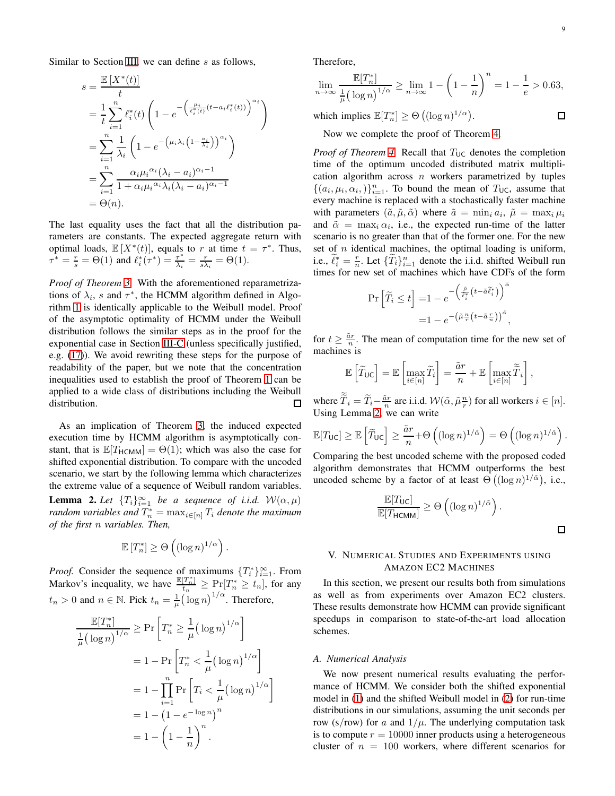Similar to Section [III,](#page-4-0) we can define  $s$  as follows,

$$
s = \frac{\mathbb{E}\left[X^*(t)\right]}{t}
$$
  
=  $\frac{1}{t} \sum_{i=1}^n \ell_i^*(t) \left(1 - e^{-\left(\frac{\mu_i}{\ell_i^*(t)}(t - a_i \ell_i^*(t))\right)^{\alpha_i}}\right)$   
=  $\sum_{i=1}^n \frac{1}{\lambda_i} \left(1 - e^{-\left(\mu_i \lambda_i \left(1 - \frac{a_i}{\lambda_i}\right)\right)^{\alpha_i}}\right)$   
=  $\sum_{i=1}^n \frac{\alpha_i \mu_i^{\alpha_i} (\lambda_i - a_i)^{\alpha_i - 1}}{1 + \alpha_i \mu_i^{\alpha_i} \lambda_i (\lambda_i - a_i)^{\alpha_i - 1}}$   
=  $\Theta(n).$ 

The last equality uses the fact that all the distribution parameters are constants. The expected aggregate return with optimal loads,  $\mathbb{E}[X^*(t)]$ , equals to r at time  $t = \tau^*$ . Thus,  $\tau^* = \frac{r}{s} = \Theta(1)$  and  $\ell_i^*(\tau^*) = \frac{\tau^*}{\lambda_i}$  $\frac{\tau^*}{\lambda_i} = \frac{r}{s\lambda_i} = \Theta(1).$ 

*Proof of Theorem [3.](#page-4-6)* With the aforementioned reparametrizations of  $\lambda_i$ , s and  $\tau^*$ , the HCMM algorithm defined in Algorithm [1](#page-5-1) is identically applicable to the Weibull model. Proof of the asymptotic optimality of HCMM under the Weibull distribution follows the similar steps as in the proof for the exponential case in Section [III-C](#page-5-9) (unless specifically justified, e.g. [\(17\)](#page-6-2)). We avoid rewriting these steps for the purpose of readability of the paper, but we note that the concentration inequalities used to establish the proof of Theorem [1](#page-3-1) can be applied to a wide class of distributions including the Weibull distribution. П

As an implication of Theorem [3,](#page-4-6) the induced expected execution time by HCMM algorithm is asymptotically constant, that is  $\mathbb{E}[T_{\text{HCMM}}] = \Theta(1)$ ; which was also the case for shifted exponential distribution. To compare with the uncoded scenario, we start by the following lemma which characterizes the extreme value of a sequence of Weibull random variables. **Lemma 2.** Let  ${T_i}_{i=1}^{\infty}$  be a sequence of i.i.d.  $W(\alpha, \mu)$ *random variables and*  $T_n^* = \max_{i \in [n]} T_i$  *denote the maximum of the first* n *variables. Then,*

$$
\mathbb{E}[T_n^*] \ge \Theta\left((\log n)^{1/\alpha}\right).
$$

<span id="page-8-0"></span>*Proof.* Consider the sequence of maximums  $\{T_i^*\}_{i=1}^\infty$ . From *Hoof.* Consider the sequence of maximums  $\{I_i\}_{i=1}^n$ . From<br>Markov's inequality, we have  $\frac{\mathbb{E}[T_n^*]}{t_n} \geq \Pr[T_n^* \geq t_n]$ , for any  $t_n > 0$  and  $n \in \mathbb{N}$ . Pick  $t_n = \frac{1}{\mu} (\log n)^{1/\alpha}$ . Therefore,

$$
\frac{\mathbb{E}[T_n^*]}{\frac{1}{\mu} (\log n)^{1/\alpha}} \ge \Pr\left[T_n^* \ge \frac{1}{\mu} (\log n)^{1/\alpha}\right]
$$

$$
= 1 - \Pr\left[T_n^* < \frac{1}{\mu} (\log n)^{1/\alpha}\right]
$$

$$
= 1 - \prod_{i=1}^n \Pr\left[T_i < \frac{1}{\mu} (\log n)^{1/\alpha}\right]
$$

$$
= 1 - (1 - e^{-\log n})^n
$$

$$
= 1 - \left(1 - \frac{1}{n}\right)^n.
$$

Therefore,

$$
\lim_{n \to \infty} \frac{\mathbb{E}[T_n^*]}{\frac{1}{\mu} (\log n)^{1/\alpha}} \ge \lim_{n \to \infty} 1 - \left(1 - \frac{1}{n}\right)^n = 1 - \frac{1}{e} > 0.63,
$$
  
which implies  $\mathbb{E}[T_n^*] > \Theta\left((\log n)^{1/\alpha}\right).$ 

which implies  $\mathbb{E}[T_n^*] \geq \Theta\left((\log n)^{1/\alpha}\right)$ .

Now we complete the proof of Theorem [4.](#page-4-1)

*Proof of Theorem [4.](#page-4-1)* Recall that  $T_{\text{UC}}$  denotes the completion time of the optimum uncoded distributed matrix multiplication algorithm across  $n$  workers parametrized by tuples  $\{(a_i, \mu_i, \alpha_i)\}_{i=1}^n$ . To bound the mean of  $T_{\text{UC}}$ , assume that every machine is replaced with a stochastically faster machine with parameters  $(\tilde{a}, \tilde{\mu}, \tilde{\alpha})$  where  $\tilde{a} = \min_i a_i$ ,  $\tilde{\mu} = \max_i \mu_i$ and  $\tilde{\alpha} = \max_i \alpha_i$ , i.e., the expected run-time of the latter scenario is no greater than that of the former one. For the new set of  $n$  identical machines, the optimal loading is uniform, i.e.,  $\tilde{\ell}_i^* = \frac{r}{n}$ . Let  $\{\tilde{T}_i\}_{i=1}^n$  denote the i.i.d. shifted Weibull run times for new set of machines which have CDFs of the form

$$
\Pr\left[\widetilde{T}_i \le t\right] = 1 - e^{-\left(\frac{\widetilde{\mu}}{\widetilde{\ell}_i^*}\left(t - \widetilde{a}\widetilde{\ell}_i^*\right)\right)^{\widetilde{\alpha}}}
$$

$$
= 1 - e^{-\left(\widetilde{\mu}\frac{n}{r}\left(t - \widetilde{a}\frac{r}{n}\right)\right)^{\widetilde{\alpha}}},
$$

for  $t \geq \frac{\tilde{a}r}{n}$ . The mean of computation time for the new set of machines is

,

 $\Box$ 

$$
\mathbb{E}\left[\widetilde{T}_{\mathsf{UC}}\right] = \mathbb{E}\left[\max_{i \in [n]} \widetilde{T}_i\right] = \frac{\widetilde{a}r}{n} + \mathbb{E}\left[\max_{i \in [n]} \widetilde{\widetilde{T}}_i\right],
$$

where  $\widetilde{T}_i = \widetilde{T}_i - \frac{\tilde{a}r}{n}$  are i.i.d.  $\mathcal{W}(\tilde{\alpha}, \tilde{\mu}^{\frac{n}{r}})$  for all workers  $i \in [n]$ . Using Lemma [2,](#page-8-0) we can write

$$
\mathbb{E}[T_{\mathsf{UC}}] \geq \mathbb{E}\left[\widetilde{T}_{\mathsf{UC}}\right] \geq \frac{\tilde{a}r}{n} + \Theta\left((\log n)^{1/\tilde{\alpha}}\right) = \Theta\left((\log n)^{1/\tilde{\alpha}}\right).
$$

Comparing the best uncoded scheme with the proposed coded algorithm demonstrates that HCMM outperforms the best uncoded scheme by a factor of at least  $\Theta$  ( $(\log n)^{1/\tilde{\alpha}}$ ), i.e.,

$$
\frac{\mathbb{E}[T_{\mathsf{UC}}]}{\mathbb{E}[T_{\mathsf{HCMM}}]} \geq \Theta\left((\log n)^{1/\tilde{\alpha}}\right).
$$

# V. NUMERICAL STUDIES AND EXPERIMENTS USING AMAZON EC2 MACHINES

In this section, we present our results both from simulations as well as from experiments over Amazon EC2 clusters. These results demonstrate how HCMM can provide significant speedups in comparison to state-of-the-art load allocation schemes.

#### *A. Numerical Analysis*

We now present numerical results evaluating the performance of HCMM. We consider both the shifted exponential model in [\(1\)](#page-2-3) and the shifted Weibull model in [\(2\)](#page-3-3) for run-time distributions in our simulations, assuming the unit seconds per row (s/row) for a and  $1/\mu$ . The underlying computation task is to compute  $r = 10000$  inner products using a heterogeneous cluster of  $n = 100$  workers, where different scenarios for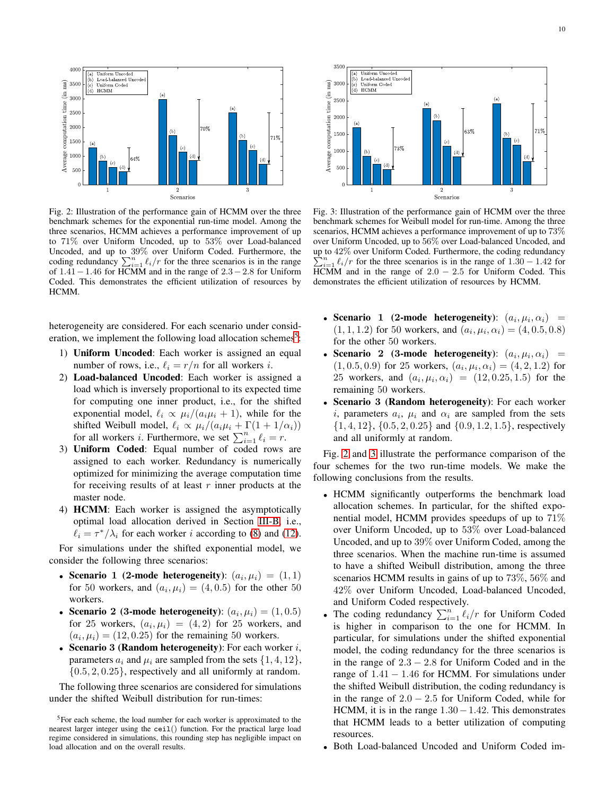<span id="page-9-1"></span>

Fig. 2: Illustration of the performance gain of HCMM over the three benchmark schemes for the exponential run-time model. Among the three scenarios, HCMM achieves a performance improvement of up to 71% over Uniform Uncoded, up to 53% over Load-balanced Uncoded, and up to 39% over Uniform Coded. Furthermore, the coding redundancy  $\sum_{i=1}^{n} \ell_i/r$  for the three scenarios is in the range of 1.41−1.46 for HCMM and in the range of 2.3−2.8 for Uniform Coded. This demonstrates the efficient utilization of resources by HCMM.

heterogeneity are considered. For each scenario under consid-eration, we implement the following load allocation schemes<sup>[5](#page-9-0)</sup>:

- 1) Uniform Uncoded: Each worker is assigned an equal number of rows, i.e.,  $\ell_i = r/n$  for all workers *i*.
- 2) Load-balanced Uncoded: Each worker is assigned a load which is inversely proportional to its expected time for computing one inner product, i.e., for the shifted exponential model,  $\ell_i \propto \mu_i/(a_i \mu_i + 1)$ , while for the shifted Weibull model,  $\ell_i \propto \mu_i/(a_i \mu_i + \Gamma(1 + 1/\alpha_i))$ for all workers *i*. Furthermore, we set  $\sum_{i=1}^{n} \ell_i = r$ .
- 3) Uniform Coded: Equal number of coded rows are assigned to each worker. Redundancy is numerically optimized for minimizing the average computation time for receiving results of at least  $r$  inner products at the master node.
- 4) HCMM: Each worker is assigned the asymptotically optimal load allocation derived in Section [III-B,](#page-4-7) i.e.,  $\ell_i = \tau^* / \lambda_i$  for each worker *i* according to [\(8\)](#page-5-4) and [\(12\)](#page-5-10).

For simulations under the shifted exponential model, we consider the following three scenarios:

- Scenario 1 (2-mode heterogeneity):  $(a_i, \mu_i) = (1, 1)$ for 50 workers, and  $(a_i, \mu_i) = (4, 0.5)$  for the other 50 workers.
- Scenario 2 (3-mode heterogeneity):  $(a_i, \mu_i) = (1, 0.5)$ for 25 workers,  $(a_i, \mu_i) = (4, 2)$  for 25 workers, and  $(a_i, \mu_i) = (12, 0.25)$  for the remaining 50 workers.
- Scenario 3 (Random heterogeneity): For each worker  $i$ , parameters  $a_i$  and  $\mu_i$  are sampled from the sets  $\{1, 4, 12\}$ ,  $\{0.5, 2, 0.25\}$ , respectively and all uniformly at random.

The following three scenarios are considered for simulations under the shifted Weibull distribution for run-times:

<span id="page-9-2"></span>

Fig. 3: Illustration of the performance gain of HCMM over the three benchmark schemes for Weibull model for run-time. Among the three scenarios, HCMM achieves a performance improvement of up to 73% over Uniform Uncoded, up to 56% over Load-balanced Uncoded, and up to  $42\%$  over Uniform Coded. Furthermore, the coding redundancy<br> $\sum_{n=0}^{\infty}$  (a for the three seemeties is in the range of 1.20 – 1.42 for P  $i_1 \ell_i/r$  for the three scenarios is in the range of  $1.30 - 1.42$  for  $HCMM$  and in the range of 2.0 – 2.5 for Uniform Coded. This demonstrates the efficient utilization of resources by HCMM.

- Scenario 1 (2-mode heterogeneity):  $(a_i, \mu_i, \alpha_i)$  =  $(1, 1, 1.2)$  for 50 workers, and  $(a_i, \mu_i, \alpha_i) = (4, 0.5, 0.8)$ for the other 50 workers.
- Scenario 2 (3-mode heterogeneity):  $(a_i, \mu_i, \alpha_i)$  =  $(1, 0.5, 0.9)$  for 25 workers,  $(a_i, \mu_i, \alpha_i) = (4, 2, 1.2)$  for 25 workers, and  $(a_i, \mu_i, \alpha_i) = (12, 0.25, 1.5)$  for the remaining 50 workers.
- Scenario 3 (Random heterogeneity): For each worker i, parameters  $a_i$ ,  $\mu_i$  and  $\alpha_i$  are sampled from the sets  $\{1, 4, 12\}, \{0.5, 2, 0.25\}$  and  $\{0.9, 1.2, 1.5\}$ , respectively and all uniformly at random.

Fig. [2](#page-9-1) and [3](#page-9-2) illustrate the performance comparison of the four schemes for the two run-time models. We make the following conclusions from the results.

- HCMM significantly outperforms the benchmark load allocation schemes. In particular, for the shifted exponential model, HCMM provides speedups of up to 71% over Uniform Uncoded, up to 53% over Load-balanced Uncoded, and up to 39% over Uniform Coded, among the three scenarios. When the machine run-time is assumed to have a shifted Weibull distribution, among the three scenarios HCMM results in gains of up to 73%, 56% and 42% over Uniform Uncoded, Load-balanced Uncoded, and Uniform Coded respectively.
- The coding redundancy  $\sum_{i=1}^{n} \ell_i/r$  for Uniform Coded is higher in comparison to the one for HCMM. In particular, for simulations under the shifted exponential model, the coding redundancy for the three scenarios is in the range of  $2.3 - 2.8$  for Uniform Coded and in the range of  $1.41 - 1.46$  for HCMM. For simulations under the shifted Weibull distribution, the coding redundancy is in the range of  $2.0 - 2.5$  for Uniform Coded, while for HCMM, it is in the range  $1.30-1.42$ . This demonstrates that HCMM leads to a better utilization of computing resources.
- Both Load-balanced Uncoded and Uniform Coded im-

<span id="page-9-0"></span><sup>5</sup>For each scheme, the load number for each worker is approximated to the nearest larger integer using the ceil() function. For the practical large load regime considered in simulations, this rounding step has negligible impact on load allocation and on the overall results.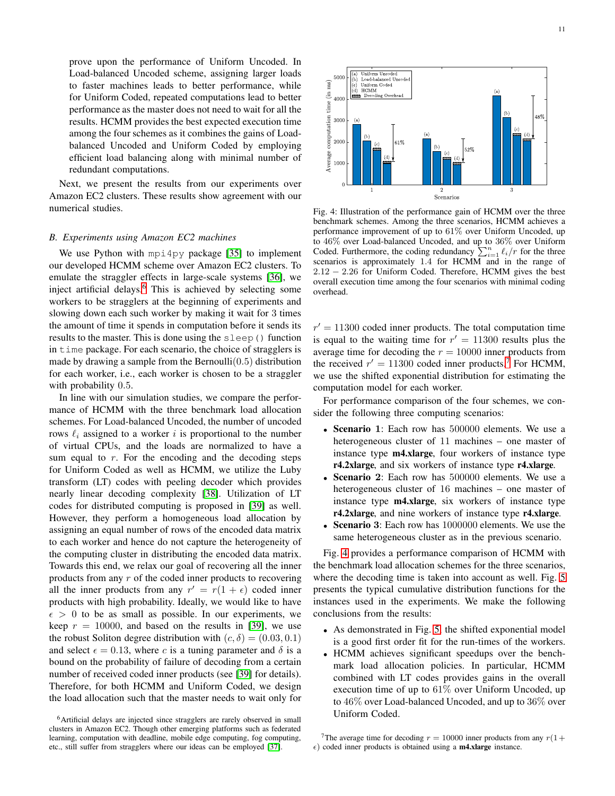prove upon the performance of Uniform Uncoded. In Load-balanced Uncoded scheme, assigning larger loads to faster machines leads to better performance, while for Uniform Coded, repeated computations lead to better performance as the master does not need to wait for all the results. HCMM provides the best expected execution time among the four schemes as it combines the gains of Loadbalanced Uncoded and Uniform Coded by employing efficient load balancing along with minimal number of redundant computations.

Next, we present the results from our experiments over Amazon EC2 clusters. These results show agreement with our numerical studies.

## *B. Experiments using Amazon EC2 machines*

We use Python with mpi4py package [\[35\]](#page-14-27) to implement our developed HCMM scheme over Amazon EC2 clusters. To emulate the straggler effects in large-scale systems [\[36\]](#page-14-28), we inject artificial delays.<sup>[6](#page-10-0)</sup> This is achieved by selecting some workers to be stragglers at the beginning of experiments and slowing down each such worker by making it wait for 3 times the amount of time it spends in computation before it sends its results to the master. This is done using the sleep() function in time package. For each scenario, the choice of stragglers is made by drawing a sample from the Bernoulli $(0.5)$  distribution for each worker, i.e., each worker is chosen to be a straggler with probability 0.5.

In line with our simulation studies, we compare the performance of HCMM with the three benchmark load allocation schemes. For Load-balanced Uncoded, the number of uncoded rows  $\ell_i$  assigned to a worker i is proportional to the number of virtual CPUs, and the loads are normalized to have a sum equal to  $r$ . For the encoding and the decoding steps for Uniform Coded as well as HCMM, we utilize the Luby transform (LT) codes with peeling decoder which provides nearly linear decoding complexity [\[38\]](#page-14-29). Utilization of LT codes for distributed computing is proposed in [\[39\]](#page-14-30) as well. However, they perform a homogeneous load allocation by assigning an equal number of rows of the encoded data matrix to each worker and hence do not capture the heterogeneity of the computing cluster in distributing the encoded data matrix. Towards this end, we relax our goal of recovering all the inner products from any r of the coded inner products to recovering all the inner products from any  $r' = r(1 + \epsilon)$  coded inner products with high probability. Ideally, we would like to have  $\epsilon > 0$  to be as small as possible. In our experiments, we keep  $r = 10000$ , and based on the results in [\[39\]](#page-14-30), we use the robust Soliton degree distribution with  $(c, \delta) = (0.03, 0.1)$ and select  $\epsilon = 0.13$ , where c is a tuning parameter and  $\delta$  is a bound on the probability of failure of decoding from a certain number of received coded inner products (see [\[39\]](#page-14-30) for details). Therefore, for both HCMM and Uniform Coded, we design the load allocation such that the master needs to wait only for

<span id="page-10-2"></span>

Fig. 4: Illustration of the performance gain of HCMM over the three benchmark schemes. Among the three scenarios, HCMM achieves a performance improvement of up to 61% over Uniform Uncoded, up to 46% over Load-balanced Uncoded, and up to 36% over Uniform Coded. Furthermore, the coding redundancy  $\sum_{i=1}^{n} \ell_i/r$  for the three scenarios is approximately 1.4 for HCMM and in the range of 2.12 − 2.26 for Uniform Coded. Therefore, HCMM gives the best overall execution time among the four scenarios with minimal coding overhead.

 $r' = 11300$  coded inner products. The total computation time is equal to the waiting time for  $r' = 11300$  results plus the average time for decoding the  $r = 10000$  inner products from the received  $r' = 11300$  coded inner products.<sup>[7](#page-10-1)</sup> For HCMM, we use the shifted exponential distribution for estimating the computation model for each worker.

For performance comparison of the four schemes, we consider the following three computing scenarios:

- Scenario 1: Each row has 500000 elements. We use a heterogeneous cluster of 11 machines – one master of instance type **m4.xlarge**, four workers of instance type r4.2xlarge, and six workers of instance type r4.xlarge.
- **Scenario 2:** Each row has 500000 elements. We use a heterogeneous cluster of 16 machines – one master of instance type m4.xlarge, six workers of instance type r4.2xlarge, and nine workers of instance type r4.xlarge.
- Scenario 3: Each row has 1000000 elements. We use the same heterogeneous cluster as in the previous scenario.

Fig. [4](#page-10-2) provides a performance comparison of HCMM with the benchmark load allocation schemes for the three scenarios, where the decoding time is taken into account as well. Fig. [5](#page-11-0) presents the typical cumulative distribution functions for the instances used in the experiments. We make the following conclusions from the results:

- As demonstrated in Fig. [5,](#page-11-0) the shifted exponential model is a good first order fit for the run-times of the workers.
- HCMM achieves significant speedups over the benchmark load allocation policies. In particular, HCMM combined with LT codes provides gains in the overall execution time of up to  $61\%$  over Uniform Uncoded, up to 46% over Load-balanced Uncoded, and up to 36% over Uniform Coded.

<span id="page-10-1"></span><sup>7</sup>The average time for decoding  $r = 10000$  inner products from any  $r(1+$  $\epsilon$ ) coded inner products is obtained using a **m4.xlarge** instance.

<span id="page-10-0"></span><sup>6</sup>Artificial delays are injected since stragglers are rarely observed in small clusters in Amazon EC2. Though other emerging platforms such as federated learning, computation with deadline, mobile edge computing, fog computing, etc., still suffer from stragglers where our ideas can be employed [\[37\]](#page-14-31).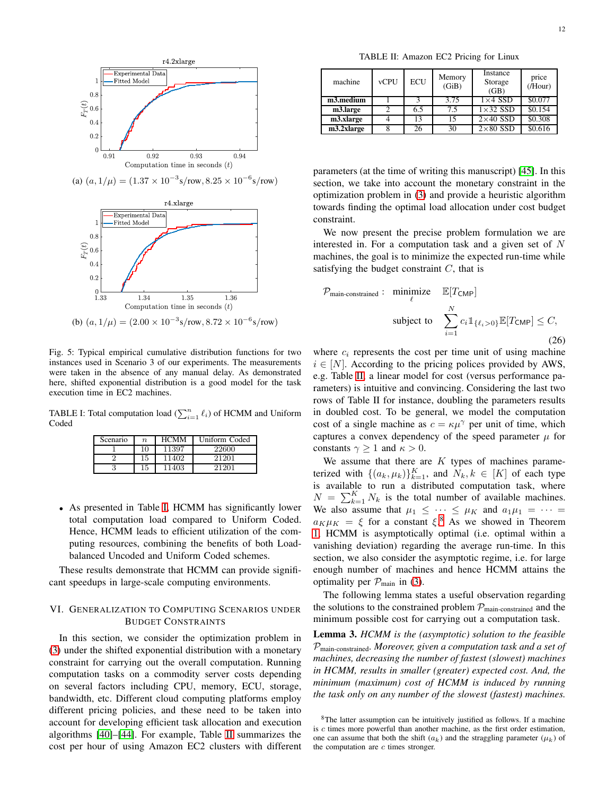<span id="page-11-0"></span>

(a)  $(a, 1/\mu) = (1.37 \times 10^{-3} \text{s/row}, 8.25 \times 10^{-6} \text{s/row})$ 



Fig. 5: Typical empirical cumulative distribution functions for two instances used in Scenario 3 of our experiments. The measurements were taken in the absence of any manual delay. As demonstrated here, shifted exponential distribution is a good model for the task

execution time in EC2 machines.

<span id="page-11-1"></span>TABLE I: Total computation load  $(\sum_{i=1}^n \ell_i)$  of HCMM and Uniform Coded

| Scenario | $\boldsymbol{n}$ | <b>HCMM</b> | Uniform Coded |
|----------|------------------|-------------|---------------|
|          | 10               | 11397       | 22600         |
|          | 15               | 11402       | 21201         |
|          | 15               | 1403        | 21201         |

• As presented in Table [I,](#page-11-1) HCMM has significantly lower total computation load compared to Uniform Coded. Hence, HCMM leads to efficient utilization of the computing resources, combining the benefits of both Loadbalanced Uncoded and Uniform Coded schemes.

These results demonstrate that HCMM can provide significant speedups in large-scale computing environments.

## VI. GENERALIZATION TO COMPUTING SCENARIOS UNDER BUDGET CONSTRAINTS

In this section, we consider the optimization problem in [\(3\)](#page-3-0) under the shifted exponential distribution with a monetary constraint for carrying out the overall computation. Running computation tasks on a commodity server costs depending on several factors including CPU, memory, ECU, storage, bandwidth, etc. Different cloud computing platforms employ different pricing policies, and these need to be taken into account for developing efficient task allocation and execution algorithms [\[40\]](#page-14-32)–[\[44\]](#page-14-33). For example, Table [II](#page-11-2) summarizes the cost per hour of using Amazon EC2 clusters with different

TABLE II: Amazon EC2 Pricing for Linux

<span id="page-11-2"></span>

| machine    | <b>vCPU</b> | <b>ECU</b> | Memory<br>(GiB) | Instance<br>Storage<br>(GB) | price<br>$($ /Hour $)$ |
|------------|-------------|------------|-----------------|-----------------------------|------------------------|
| m3.medium  |             |            | 3.75            | $1\times4$ SSD              | \$0.077                |
| m3.large   |             | 6.5        | 7.5             | $1\times32$ SSD             | \$0.154                |
| m3.xlarge  |             | 13         | 15              | $2\times40$ SSD             | \$0.308                |
| m3.2xlarge |             |            | 30              | $2\times80$ SSD             | \$0.616                |

parameters (at the time of writing this manuscript) [\[45\]](#page-14-34). In this section, we take into account the monetary constraint in the optimization problem in [\(3\)](#page-3-0) and provide a heuristic algorithm towards finding the optimal load allocation under cost budget constraint.

We now present the precise problem formulation we are interested in. For a computation task and a given set of  $N$ machines, the goal is to minimize the expected run-time while satisfying the budget constraint  $C$ , that is

<span id="page-11-5"></span>
$$
\mathcal{P}_{\text{main-constrained}}: \text{ minimize } \mathbb{E}[T_{\text{CMD}}]
$$
\n
$$
\text{subject to } \sum_{i=1}^{N} c_i \mathbb{1}_{\{\ell_i > 0\}} \mathbb{E}[T_{\text{CMD}}] \leq C,
$$
\n
$$
(26)
$$

where  $c_i$  represents the cost per time unit of using machine  $i \in [N]$ . According to the pricing polices provided by AWS, e.g. Table [II,](#page-11-2) a linear model for cost (versus performance parameters) is intuitive and convincing. Considering the last two rows of Table II for instance, doubling the parameters results in doubled cost. To be general, we model the computation cost of a single machine as  $c = \kappa \mu^{\gamma}$  per unit of time, which captures a convex dependency of the speed parameter  $\mu$  for constants  $\gamma \geq 1$  and  $\kappa > 0$ .

We assume that there are  $K$  types of machines parameterized with  $\{(a_k, \mu_k)\}_{k=1}^K$ , and  $N_k, k \in [K]$  of each type is available to run a distributed computation task, where  $N = \sum_{k=1}^{K} N_k$  is the total number of available machines. We also assume that  $\mu_1 \leq \cdots \leq \mu_K$  and  $a_1\mu_1 = \cdots =$  $a_K \mu_K = \xi$  for a constant  $\xi$ <sup>[8](#page-11-3)</sup>. As we showed in Theorem [1,](#page-3-1) HCMM is asymptotically optimal (i.e. optimal within a vanishing deviation) regarding the average run-time. In this section, we also consider the asymptotic regime, i.e. for large enough number of machines and hence HCMM attains the optimality per  $\mathcal{P}_{\text{main}}$  in [\(3\)](#page-3-0).

The following lemma states a useful observation regarding the solutions to the constrained problem  $\mathcal{P}_{\text{main-constrained}}$  and the minimum possible cost for carrying out a computation task.

<span id="page-11-4"></span>Lemma 3. *HCMM is the (asymptotic) solution to the feasible* Pmain-constrained*. Moreover, given a computation task and a set of machines, decreasing the number of fastest (slowest) machines in HCMM, results in smaller (greater) expected cost. And, the minimum (maximum) cost of HCMM is induced by running the task only on any number of the slowest (fastest) machines.*

<span id="page-11-3"></span><sup>&</sup>lt;sup>8</sup>The latter assumption can be intuitively justified as follows. If a machine is c times more powerful than another machine, as the first order estimation, one can assume that both the shift  $(a_k)$  and the straggling parameter  $(\mu_k)$  of the computation are  $c$  times stronger.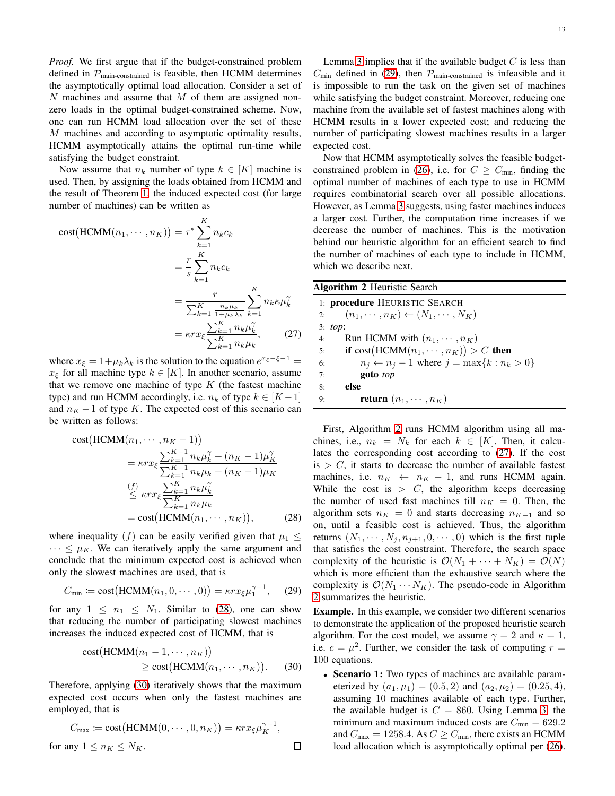*Proof.* We first argue that if the budget-constrained problem defined in  $P_{\text{main-constrained}}$  is feasible, then HCMM determines the asymptotically optimal load allocation. Consider a set of  $N$  machines and assume that  $M$  of them are assigned nonzero loads in the optimal budget-constrained scheme. Now, one can run HCMM load allocation over the set of these M machines and according to asymptotic optimality results, HCMM asymptotically attains the optimal run-time while satisfying the budget constraint.

Now assume that  $n_k$  number of type  $k \in [K]$  machine is used. Then, by assigning the loads obtained from HCMM and the result of Theorem [1,](#page-3-1) the induced expected cost (for large number of machines) can be written as

$$
\text{cost}(\text{HCMM}(n_1, \cdots, n_K)) = \tau^* \sum_{k=1}^K n_k c_k
$$

$$
= \frac{r}{s} \sum_{k=1}^K n_k c_k
$$

$$
= \frac{r}{\sum_{k=1}^K \frac{n_k \mu_k}{1 + \mu_k \lambda_k}} \sum_{k=1}^K n_k \kappa \mu_k^{\gamma}
$$

$$
= \kappa r x_\xi \frac{\sum_{k=1}^K n_k \mu_k^{\gamma}}{\sum_{k=1}^K n_k \mu_k}, \qquad (27)
$$

where  $x_{\xi} = 1 + \mu_k \lambda_k$  is the solution to the equation  $e^{x_{\xi} - \xi - 1} =$  $x_{\xi}$  for all machine type  $k \in [K]$ . In another scenario, assume that we remove one machine of type  $K$  (the fastest machine type) and run HCMM accordingly, i.e.  $n_k$  of type  $k \in [K-1]$ and  $n<sub>K</sub> - 1$  of type K. The expected cost of this scenario can be written as follows:

cost(HCMM(n<sub>1</sub>,..., n<sub>K</sub> - 1))  
\n= 
$$
\kappa r x_{\xi} \frac{\sum_{k=1}^{K-1} n_k \mu_k^{\gamma} + (n_K - 1)\mu_K^{\gamma}}{\sum_{k=1}^{K-1} n_k \mu_k + (n_K - 1)\mu_K}
$$
  
\n $\leq \kappa r x_{\xi} \frac{\sum_{k=1}^{K} n_k \mu_k^{\gamma}}{\sum_{k=1}^{K} n_k \mu_k}$   
\n= cost(HCMM(n<sub>1</sub>,..., n<sub>K</sub>)), (28)

where inequality (f) can be easily verified given that  $\mu_1 \leq$  $\cdots \leq \mu_K$ . We can iteratively apply the same argument and conclude that the minimum expected cost is achieved when only the slowest machines are used, that is

$$
C_{\min} := \text{cost}\big(\text{HCMM}(n_1, 0, \cdots, 0)\big) = \kappa r x_{\xi} \mu_1^{\gamma - 1}, \quad (29)
$$

for any  $1 \leq n_1 \leq N_1$ . Similar to [\(28\)](#page-12-0), one can show that reducing the number of participating slowest machines increases the induced expected cost of HCMM, that is

cost(HCMM
$$
(n_1 - 1, \dots, n_K)
$$
)  
\n $\ge$  cost(HCMM $(n_1, \dots, n_K)$ ). (30)

 $\Box$ 

Therefore, applying [\(30\)](#page-12-1) iteratively shows that the maximum expected cost occurs when only the fastest machines are employed, that is

$$
C_{\max} := \text{cost}(\text{HCMM}(0, \cdots, 0, n_K)) = \kappa r x_{\xi} \mu_K^{\gamma - 1},
$$
  
for any  $1 \le n_K \le N_K$ .

Lemma [3](#page-11-4) implies that if the available budget  $C$  is less than  $C_{\text{min}}$  defined in [\(29\)](#page-12-2), then  $\mathcal{P}_{\text{main-constrained}}$  is infeasible and it is impossible to run the task on the given set of machines while satisfying the budget constraint. Moreover, reducing one machine from the available set of fastest machines along with HCMM results in a lower expected cost; and reducing the number of participating slowest machines results in a larger expected cost.

Now that HCMM asymptotically solves the feasible budget-constrained problem in [\(26\)](#page-11-5), i.e. for  $C \geq C_{\text{min}}$ , finding the optimal number of machines of each type to use in HCMM requires combinatorial search over all possible allocations. However, as Lemma [3](#page-11-4) suggests, using faster machines induces a larger cost. Further, the computation time increases if we decrease the number of machines. This is the motivation behind our heuristic algorithm for an efficient search to find the number of machines of each type to include in HCMM, which we describe next.

<span id="page-12-3"></span>

| <b>Algorithm 2 Heuristic Search</b> |  |  |  |
|-------------------------------------|--|--|--|
|-------------------------------------|--|--|--|

<span id="page-12-4"></span>

|    | 1: <b>procedure</b> HEURISTIC SEARCH                     |
|----|----------------------------------------------------------|
| 2: | $(n_1, \cdots, n_K) \leftarrow (N_1, \cdots, N_K)$       |
|    | 3: top:                                                  |
| 4: | Run HCMM with $(n_1, \dots, n_K)$                        |
|    | if $cost(HCMM(n_1, \dots, n_K)) > C$ then<br>5:          |
| 6: | $n_i \leftarrow n_i - 1$ where $j = \max\{k : n_k > 0\}$ |
| 7: | goto top                                                 |
| 8: | else                                                     |
| 9: | <b>return</b> $(n_1, \cdots, n_K)$                       |

<span id="page-12-0"></span>First, Algorithm [2](#page-12-3) runs HCMM algorithm using all machines, i.e.,  $n_k = N_k$  for each  $k \in [K]$ . Then, it calculates the corresponding cost according to [\(27\)](#page-12-4). If the cost is  $> C$ , it starts to decrease the number of available fastest machines, i.e.  $n_K \leftarrow n_K - 1$ , and runs HCMM again. While the cost is  $> C$ , the algorithm keeps decreasing the number of used fast machines till  $n_K = 0$ . Then, the algorithm sets  $n_K = 0$  and starts decreasing  $n_{K-1}$  and so on, until a feasible cost is achieved. Thus, the algorithm returns  $(N_1, \dots, N_i, n_{i+1}, 0, \dots, 0)$  which is the first tuple that satisfies the cost constraint. Therefore, the search space complexity of the heuristic is  $\mathcal{O}(N_1 + \cdots + N_K) = \mathcal{O}(N)$ which is more efficient than the exhaustive search where the complexity is  $\mathcal{O}(N_1 \cdots N_K)$ . The pseudo-code in Algorithm [2](#page-12-3) summarizes the heuristic.

<span id="page-12-2"></span>Example. In this example, we consider two different scenarios to demonstrate the application of the proposed heuristic search algorithm. For the cost model, we assume  $\gamma = 2$  and  $\kappa = 1$ , i.e.  $c = \mu^2$ . Further, we consider the task of computing  $r =$ 100 equations.

<span id="page-12-1"></span>• Scenario 1: Two types of machines are available parameterized by  $(a_1, \mu_1) = (0.5, 2)$  and  $(a_2, \mu_2) = (0.25, 4)$ , assuming 10 machines available of each type. Further, the available budget is  $C = 860$ . Using Lemma [3,](#page-11-4) the minimum and maximum induced costs are  $C_{\text{min}} = 629.2$ and  $C_{\text{max}} = 1258.4$ . As  $C \ge C_{\text{min}}$ , there exists an HCMM load allocation which is asymptotically optimal per [\(26\)](#page-11-5).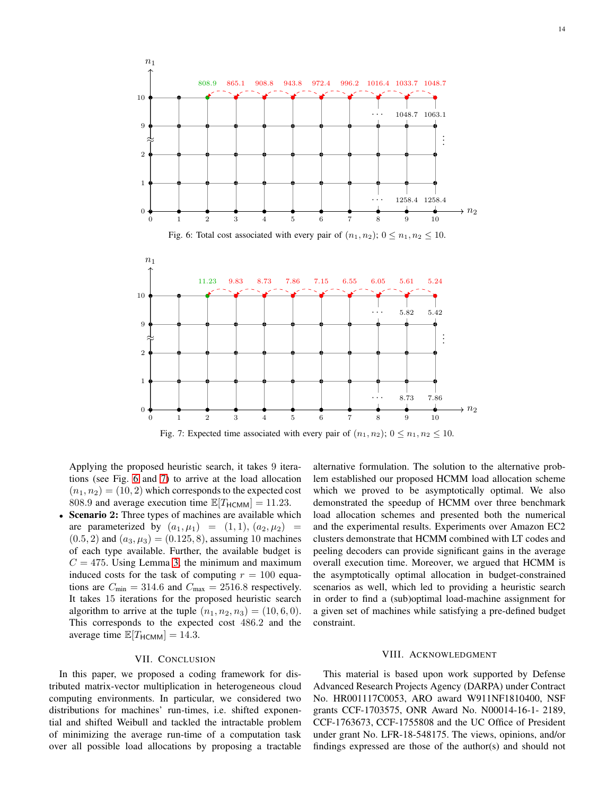<span id="page-13-1"></span><span id="page-13-0"></span>

Fig. 7: Expected time associated with every pair of  $(n_1, n_2)$ ;  $0 \le n_1, n_2 \le 10$ .

Applying the proposed heuristic search, it takes 9 iterations (see Fig. [6](#page-13-0) and [7\)](#page-13-1) to arrive at the load allocation  $(n_1, n_2) = (10, 2)$  which corresponds to the expected cost 808.9 and average execution time  $\mathbb{E}[T_{\text{HCMM}}] = 11.23$ .

• Scenario 2: Three types of machines are available which are parameterized by  $(a_1, \mu_1) = (1, 1), (a_2, \mu_2) =$  $(0.5, 2)$  and  $(a_3, \mu_3) = (0.125, 8)$ , assuming 10 machines of each type available. Further, the available budget is  $C = 475$ . Using Lemma [3,](#page-11-4) the minimum and maximum induced costs for the task of computing  $r = 100$  equations are  $C_{\text{min}} = 314.6$  and  $C_{\text{max}} = 2516.8$  respectively. It takes 15 iterations for the proposed heuristic search algorithm to arrive at the tuple  $(n_1, n_2, n_3) = (10, 6, 0)$ . This corresponds to the expected cost 486.2 and the average time  $\mathbb{E}[T_{\text{HCMM}}] = 14.3$ .

## VII. CONCLUSION

In this paper, we proposed a coding framework for distributed matrix-vector multiplication in heterogeneous cloud computing environments. In particular, we considered two distributions for machines' run-times, i.e. shifted exponential and shifted Weibull and tackled the intractable problem of minimizing the average run-time of a computation task over all possible load allocations by proposing a tractable alternative formulation. The solution to the alternative problem established our proposed HCMM load allocation scheme which we proved to be asymptotically optimal. We also demonstrated the speedup of HCMM over three benchmark load allocation schemes and presented both the numerical and the experimental results. Experiments over Amazon EC2 clusters demonstrate that HCMM combined with LT codes and peeling decoders can provide significant gains in the average overall execution time. Moreover, we argued that HCMM is the asymptotically optimal allocation in budget-constrained scenarios as well, which led to providing a heuristic search in order to find a (sub)optimal load-machine assignment for a given set of machines while satisfying a pre-defined budget constraint.

## VIII. ACKNOWLEDGMENT

This material is based upon work supported by Defense Advanced Research Projects Agency (DARPA) under Contract No. HR001117C0053, ARO award W911NF1810400, NSF grants CCF-1703575, ONR Award No. N00014-16-1- 2189, CCF-1763673, CCF-1755808 and the UC Office of President under grant No. LFR-18-548175. The views, opinions, and/or findings expressed are those of the author(s) and should not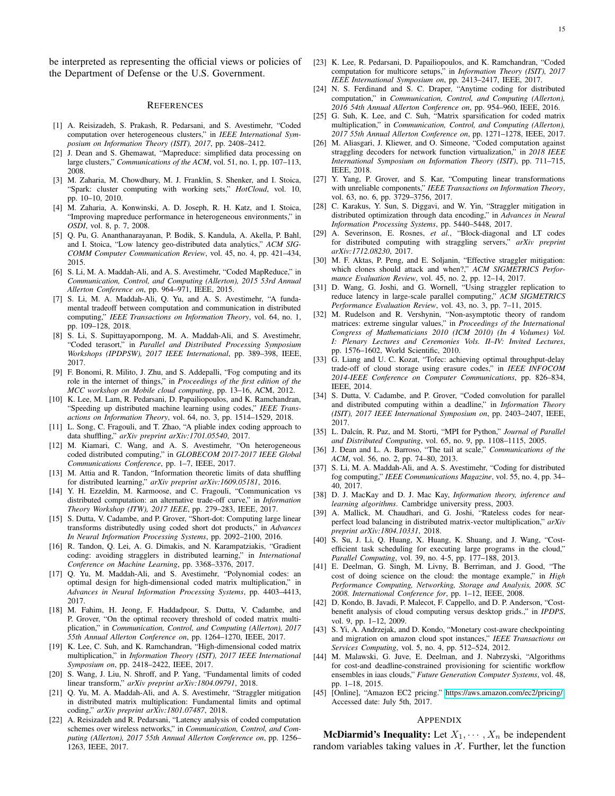be interpreted as representing the official views or policies of the Department of Defense or the U.S. Government.

#### **REFERENCES**

- <span id="page-14-2"></span>[1] A. Reisizadeh, S. Prakash, R. Pedarsani, and S. Avestimehr, "Coded computation over heterogeneous clusters," in *IEEE International Symposium on Information Theory (ISIT), 2017*, pp. 2408–2412.
- <span id="page-14-0"></span>[2] J. Dean and S. Ghemawat, "Mapreduce: simplified data processing on large clusters," *Communications of the ACM*, vol. 51, no. 1, pp. 107–113, 2008.
- <span id="page-14-1"></span>[3] M. Zaharia, M. Chowdhury, M. J. Franklin, S. Shenker, and I. Stoica, "Spark: cluster computing with working sets," *HotCloud*, vol. 10, pp. 10–10, 2010.
- <span id="page-14-3"></span>[4] M. Zaharia, A. Konwinski, A. D. Joseph, R. H. Katz, and I. Stoica, "Improving mapreduce performance in heterogeneous environments," in *OSDI*, vol. 8, p. 7, 2008.
- <span id="page-14-4"></span>[5] Q. Pu, G. Ananthanarayanan, P. Bodik, S. Kandula, A. Akella, P. Bahl, and I. Stoica, "Low latency geo-distributed data analytics," *ACM SIG-COMM Computer Communication Review*, vol. 45, no. 4, pp. 421–434, 2015.
- <span id="page-14-5"></span>[6] S. Li, M. A. Maddah-Ali, and A. S. Avestimehr, "Coded MapReduce," in *Communication, Control, and Computing (Allerton), 2015 53rd Annual Allerton Conference on*, pp. 964–971, IEEE, 2015.
- [7] S. Li, M. A. Maddah-Ali, Q. Yu, and A. S. Avestimehr, "A fundamental tradeoff between computation and communication in distributed computing," *IEEE Transactions on Information Theory*, vol. 64, no. 1, pp. 109–128, 2018.
- <span id="page-14-6"></span>[8] S. Li, S. Supittayapornpong, M. A. Maddah-Ali, and S. Avestimehr, "Coded terasort," in *Parallel and Distributed Processing Symposium Workshops (IPDPSW), 2017 IEEE International*, pp. 389–398, IEEE, 2017.
- <span id="page-14-7"></span>[9] F. Bonomi, R. Milito, J. Zhu, and S. Addepalli, "Fog computing and its role in the internet of things," in *Proceedings of the first edition of the MCC workshop on Mobile cloud computing*, pp. 13–16, ACM, 2012.
- <span id="page-14-8"></span>[10] K. Lee, M. Lam, R. Pedarsani, D. Papailiopoulos, and K. Ramchandran, "Speeding up distributed machine learning using codes," *IEEE Transactions on Information Theory*, vol. 64, no. 3, pp. 1514–1529, 2018.
- [11] L. Song, C. Fragouli, and T. Zhao, "A pliable index coding approach to data shuffling," *arXiv preprint arXiv:1701.05540*, 2017.
- [12] M. Kiamari, C. Wang, and A. S. Avestimehr, "On heterogeneous coded distributed computing," in *GLOBECOM 2017-2017 IEEE Global Communications Conference*, pp. 1–7, IEEE, 2017.
- [13] M. Attia and R. Tandon, "Information theoretic limits of data shuffling for distributed learning," *arXiv preprint arXiv:1609.05181*, 2016.
- <span id="page-14-9"></span>[14] Y. H. Ezzeldin, M. Karmoose, and C. Fragouli, "Communication vs distributed computation: an alternative trade-off curve," in *Information Theory Workshop (ITW), 2017 IEEE*, pp. 279–283, IEEE, 2017.
- <span id="page-14-10"></span>[15] S. Dutta, V. Cadambe, and P. Grover, "Short-dot: Computing large linear transforms distributedly using coded short dot products," in *Advances In Neural Information Processing Systems*, pp. 2092–2100, 2016.
- <span id="page-14-11"></span>[16] R. Tandon, Q. Lei, A. G. Dimakis, and N. Karampatziakis, "Gradient coding: avoiding stragglers in distributed learning," in *International Conference on Machine Learning*, pp. 3368–3376, 2017.
- <span id="page-14-12"></span>[17] Q. Yu, M. Maddah-Ali, and S. Avestimehr, "Polynomial codes: an optimal design for high-dimensional coded matrix multiplication," in *Advances in Neural Information Processing Systems*, pp. 4403–4413, 2017.
- [18] M. Fahim, H. Jeong, F. Haddadpour, S. Dutta, V. Cadambe, and P. Grover, "On the optimal recovery threshold of coded matrix multiplication," in *Communication, Control, and Computing (Allerton), 2017 55th Annual Allerton Conference on*, pp. 1264–1270, IEEE, 2017.
- [19] K. Lee, C. Suh, and K. Ramchandran, "High-dimensional coded matrix multiplication," in *Information Theory (ISIT), 2017 IEEE International Symposium on*, pp. 2418–2422, IEEE, 2017.
- [20] S. Wang, J. Liu, N. Shroff, and P. Yang, "Fundamental limits of coded linear transform," *arXiv preprint arXiv:1804.09791*, 2018.
- <span id="page-14-13"></span>[21] Q. Yu, M. A. Maddah-Ali, and A. S. Avestimehr, "Straggler mitigation in distributed matrix multiplication: Fundamental limits and optimal coding," *arXiv preprint arXiv:1801.07487*, 2018.
- <span id="page-14-14"></span>[22] A. Reisizadeh and R. Pedarsani, "Latency analysis of coded computation schemes over wireless networks," in *Communication, Control, and Computing (Allerton), 2017 55th Annual Allerton Conference on*, pp. 1256– 1263, IEEE, 2017.
- <span id="page-14-15"></span>[23] K. Lee, R. Pedarsani, D. Papailiopoulos, and K. Ramchandran, "Coded computation for multicore setups," in *Information Theory (ISIT), 2017 IEEE International Symposium on*, pp. 2413–2417, IEEE, 2017.
- <span id="page-14-16"></span>[24] N. S. Ferdinand and S. C. Draper, "Anytime coding for distributed computation," in *Communication, Control, and Computing (Allerton), 2016 54th Annual Allerton Conference on*, pp. 954–960, IEEE, 2016.
- <span id="page-14-17"></span>[25] G. Suh, K. Lee, and C. Suh, "Matrix sparsification for coded matrix multiplication," in *Communication, Control, and Computing (Allerton), 2017 55th Annual Allerton Conference on*, pp. 1271–1278, IEEE, 2017.
- <span id="page-14-18"></span>[26] M. Aliasgari, J. Kliewer, and O. Simeone, "Coded computation against straggling decoders for network function virtualization," in *2018 IEEE International Symposium on Information Theory (ISIT)*, pp. 711–715, IEEE, 2018.
- <span id="page-14-19"></span>[27] Y. Yang, P. Grover, and S. Kar, "Computing linear transformations with unreliable components," *IEEE Transactions on Information Theory*, vol. 63, no. 6, pp. 3729–3756, 2017.
- <span id="page-14-20"></span>[28] C. Karakus, Y. Sun, S. Diggavi, and W. Yin, "Straggler mitigation in distributed optimization through data encoding," in *Advances in Neural Information Processing Systems*, pp. 5440–5448, 2017.
- <span id="page-14-21"></span>[29] A. Severinson, E. Rosnes, *et al.*, "Block-diagonal and LT codes for distributed computing with straggling servers," *arXiv preprint arXiv:1712.08230*, 2017.
- <span id="page-14-22"></span>[30] M. F. Aktas, P. Peng, and E. Soljanin, "Effective straggler mitigation: which clones should attack and when?," *ACM SIGMETRICS Performance Evaluation Review*, vol. 45, no. 2, pp. 12–14, 2017.
- <span id="page-14-23"></span>[31] D. Wang, G. Joshi, and G. Wornell, "Using straggler replication to reduce latency in large-scale parallel computing," *ACM SIGMETRICS Performance Evaluation Review*, vol. 43, no. 3, pp. 7–11, 2015.
- <span id="page-14-24"></span>[32] M. Rudelson and R. Vershynin, "Non-asymptotic theory of random matrices: extreme singular values," in *Proceedings of the International Congress of Mathematicians 2010 (ICM 2010) (In 4 Volumes) Vol. I: Plenary Lectures and Ceremonies Vols. II–IV: Invited Lectures*, pp. 1576–1602, World Scientific, 2010.
- <span id="page-14-25"></span>[33] G. Liang and U. C. Kozat, "Tofec: achieving optimal throughput-delay trade-off of cloud storage using erasure codes," in *IEEE INFOCOM 2014-IEEE Conference on Computer Communications*, pp. 826–834, IEEE, 2014.
- <span id="page-14-26"></span>[34] S. Dutta, V. Cadambe, and P. Grover, "Coded convolution for parallel and distributed computing within a deadline," in *Information Theory (ISIT), 2017 IEEE International Symposium on*, pp. 2403–2407, IEEE, 2017.
- <span id="page-14-27"></span>[35] L. Dalcín, R. Paz, and M. Storti, "MPI for Python," *Journal of Parallel and Distributed Computing*, vol. 65, no. 9, pp. 1108–1115, 2005.
- <span id="page-14-28"></span>[36] J. Dean and L. A. Barroso, "The tail at scale," *Communications of the ACM*, vol. 56, no. 2, pp. 74–80, 2013.
- <span id="page-14-31"></span>[37] S. Li, M. A. Maddah-Ali, and A. S. Avestimehr, "Coding for distributed fog computing," *IEEE Communications Magazine*, vol. 55, no. 4, pp. 34– 40, 2017.
- <span id="page-14-29"></span>[38] D. J. MacKay and D. J. Mac Kay, *Information theory, inference and learning algorithms*. Cambridge university press, 2003.
- <span id="page-14-30"></span>[39] A. Mallick, M. Chaudhari, and G. Joshi, "Rateless codes for nearperfect load balancing in distributed matrix-vector multiplication," *arXiv preprint arXiv:1804.10331*, 2018.
- <span id="page-14-32"></span>[40] S. Su, J. Li, Q. Huang, X. Huang, K. Shuang, and J. Wang, "Costefficient task scheduling for executing large programs in the cloud," *Parallel Computing*, vol. 39, no. 4-5, pp. 177–188, 2013.
- [41] E. Deelman, G. Singh, M. Livny, B. Berriman, and J. Good, "The cost of doing science on the cloud: the montage example," in *High Performance Computing, Networking, Storage and Analysis, 2008. SC 2008. International Conference for*, pp. 1–12, IEEE, 2008.
- [42] D. Kondo, B. Javadi, P. Malecot, F. Cappello, and D. P. Anderson, "Costbenefit analysis of cloud computing versus desktop grids.," in *IPDPS*, vol. 9, pp. 1–12, 2009.
- [43] S. Yi, A. Andrzejak, and D. Kondo, "Monetary cost-aware checkpointing and migration on amazon cloud spot instances," *IEEE Transactions on Services Computing*, vol. 5, no. 4, pp. 512–524, 2012.
- <span id="page-14-33"></span>[44] M. Malawski, G. Juve, E. Deelman, and J. Nabrzyski, "Algorithms for cost-and deadline-constrained provisioning for scientific workflow ensembles in iaas clouds," *Future Generation Computer Systems*, vol. 48, pp. 1–18, 2015.
- <span id="page-14-34"></span>[45] [Online], "Amazon EC2 pricing." [https://aws.amazon.com/ec2/pricing/.](https://aws.amazon.com/ec2/pricing/) Accessed date: July 5th, 2017.

#### APPENDIX

**McDiarmid's Inequality:** Let  $X_1, \dots, X_n$  be independent random variables taking values in  $X$ . Further, let the function